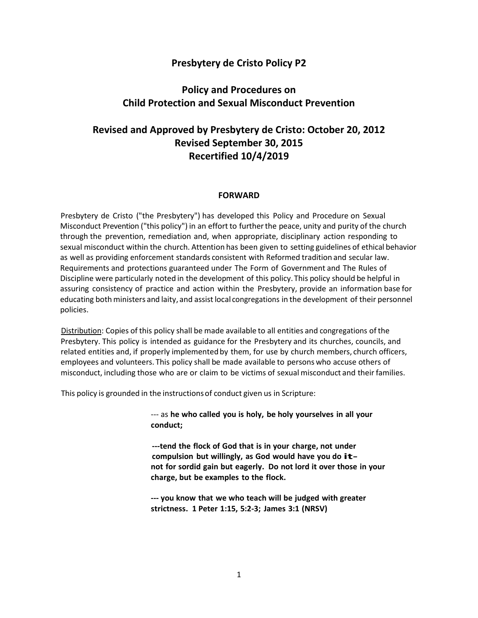## **Presbytery de Cristo Policy P2**

# **Policy and Procedures on Child Protection and Sexual Misconduct Prevention**

# **Revised and Approved by Presbytery de Cristo: October 20, 2012 Revised September 30, 2015 Recertified 10/4/2019**

#### **FORWARD**

Presbytery de Cristo ("the Presbytery") has developed this Policy and Procedure on Sexual Misconduct Prevention ("this policy") in an effort to furtherthe peace, unity and purity of the church through the prevention, remediation and, when appropriate, disciplinary action responding to sexual misconduct within the church. Attention has been given to setting guidelines of ethical behavior as well as providing enforcement standards consistent with Reformed tradition and secular law. Requirements and protections guaranteed under The Form of Government and The Rules of Discipline were particularly noted in the development of this policy.This policy should be helpful in assuring consistency of practice and action within the Presbytery, provide an information base for educating both ministers and laity, and assistlocal congregations in the development of their personnel policies.

Distribution: Copies of this policy shall be made available to all entities and congregations of the Presbytery. This policy is intended as guidance for the Presbytery and its churches, councils, and related entities and, if properly implemented by them, for use by church members, church officers, employees and volunteers. This policy shall be made available to persons who accuse others of misconduct, including those who are or claim to be victims of sexual misconduct and theirfamilies.

This policy is grounded in the instructionsof conduct given us in Scripture:

--- as **he who called you is holy, be holy yourselves in all your conduct;**

**---tend the flock of God that is in your charge, not under compulsion but willingly, as God would have you do itnot for sordid gain but eagerly. Do not lord it over those in your charge, but be examples to the flock.**

**--- you know that we who teach will be judged with greater strictness. 1 Peter 1:15, 5:2-3; James 3:1 (NRSV)**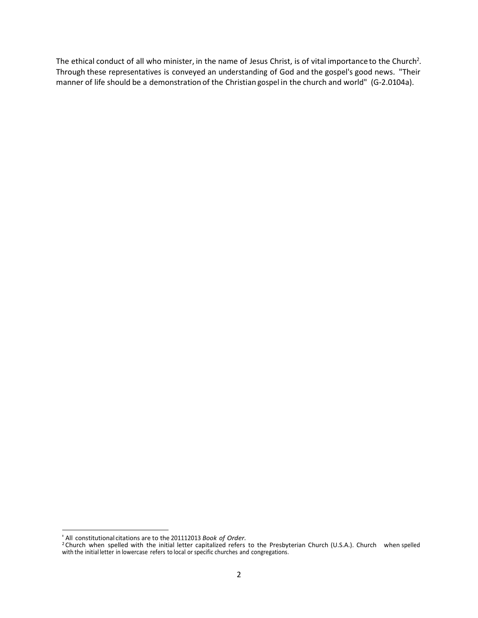The ethical conduct of all who minister, in the name of Jesus Christ, is of vital importance to the Church<sup>2</sup>. Through these representatives is conveyed an understanding of God and the gospel's good news. "Their manner of life should be a demonstration of the Christian gospel in the church and world" (G-2.0104a).

<sup>&#</sup>x27; All constitutional citations are to the 201112013 *Book of Order.*

<sup>2</sup> Church when spelled with the initial letter capitalized refers to the Presbyterian Church (U.S.A.). Church when spelled with the initial letter in lowercase refers to local or specific churches and congregations.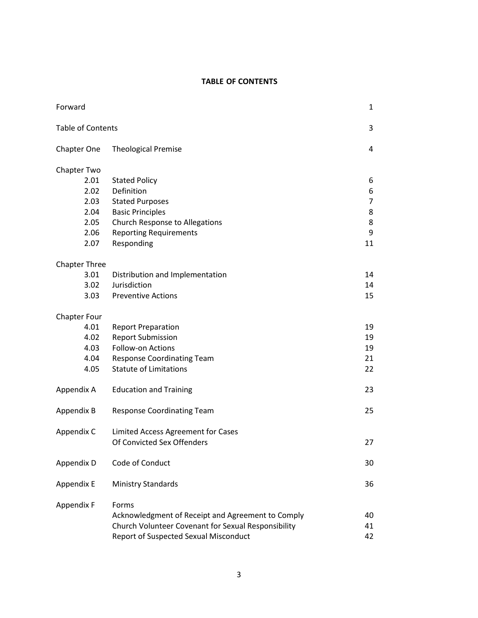#### **TABLE OF CONTENTS**

| Forward                                                             |                                                                                                                                                                          | 1                                             |
|---------------------------------------------------------------------|--------------------------------------------------------------------------------------------------------------------------------------------------------------------------|-----------------------------------------------|
| <b>Table of Contents</b>                                            |                                                                                                                                                                          | 3                                             |
| <b>Chapter One</b>                                                  | <b>Theological Premise</b>                                                                                                                                               | 4                                             |
| Chapter Two<br>2.01<br>2.02<br>2.03<br>2.04<br>2.05<br>2.06<br>2.07 | <b>Stated Policy</b><br>Definition<br><b>Stated Purposes</b><br><b>Basic Principles</b><br>Church Response to Allegations<br><b>Reporting Requirements</b><br>Responding | 6<br>6<br>$\overline{7}$<br>8<br>8<br>9<br>11 |
| <b>Chapter Three</b><br>3.01<br>3.02<br>3.03                        | Distribution and Implementation<br>Jurisdiction<br><b>Preventive Actions</b>                                                                                             | 14<br>14<br>15                                |
| <b>Chapter Four</b><br>4.01<br>4.02<br>4.03<br>4.04<br>4.05         | <b>Report Preparation</b><br><b>Report Submission</b><br>Follow-on Actions<br><b>Response Coordinating Team</b><br><b>Statute of Limitations</b>                         | 19<br>19<br>19<br>21<br>22                    |
| Appendix A                                                          | <b>Education and Training</b>                                                                                                                                            | 23                                            |
| Appendix B                                                          | <b>Response Coordinating Team</b>                                                                                                                                        | 25                                            |
| Appendix C                                                          | Limited Access Agreement for Cases<br>Of Convicted Sex Offenders                                                                                                         | 27                                            |
| Appendix D                                                          | Code of Conduct                                                                                                                                                          | 30                                            |
| Appendix E                                                          | <b>Ministry Standards</b>                                                                                                                                                | 36                                            |
| Appendix F                                                          | Forms<br>Acknowledgment of Receipt and Agreement to Comply<br>Church Volunteer Covenant for Sexual Responsibility<br>Report of Suspected Sexual Misconduct               | 40<br>41<br>42                                |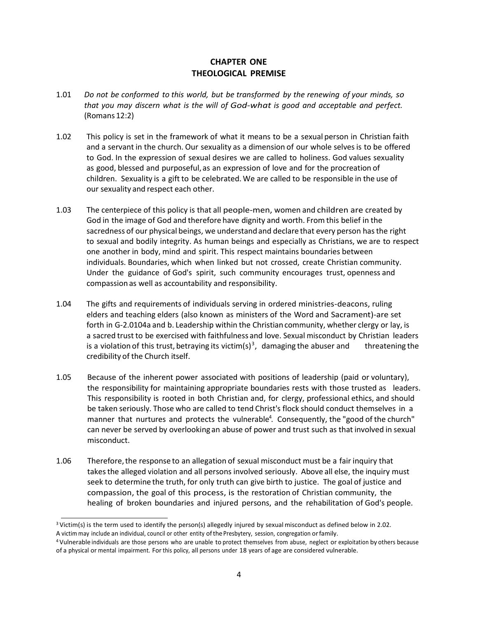### **CHAPTER ONE THEOLOGICAL PREMISE**

- 1.01 *Do not be conformed to this world, but be transformed by the renewing of your minds, so that you may discern what is the will of God-what is good and acceptable and perfect.* (Romans 12:2)
- 1.02 This policy is set in the framework of what it means to be a sexual person in Christian faith and a servant in the church. Our sexuality as a dimension of our whole selvesis to be offered to God. In the expression of sexual desires we are called to holiness. God values sexuality as good, blessed and purposeful,as an expression of love and for the procreation of children. Sexuality is a gift to be celebrated. We are called to be responsible in the use of our sexuality and respect each other.
- 1.03 The centerpiece of this policy is that all people-men, women and children are created by God in the image of God and therefore have dignity and worth. From this belief in the sacredness of our physical beings, we understandand declare that every person hasthe right to sexual and bodily integrity. As human beings and especially as Christians, we are to respect one another in body, mind and spirit. This respect maintains boundaries between individuals. Boundaries, which when linked but not crossed, create Christian community. Under the guidance of God's spirit, such community encourages trust, openness and compassion as well as accountability and responsibility.
- 1.04 The gifts and requirements of individuals serving in ordered ministries-deacons, ruling elders and teaching elders (also known as ministers of the Word and Sacrament)-are set forth in G-2.0104a and b. Leadership within the Christian community, whether clergy or lay, is a sacred trust to be exercised with faithfulness and love. Sexual misconduct by Christian leaders is a violation of this trust, betraying its victim(s)<sup>3</sup>, damaging the abuser and threatening the credibility of the Church itself.
- 1.05 Because of the inherent power associated with positions of leadership (paid or voluntary), the responsibility for maintaining appropriate boundaries rests with those trusted as leaders. This responsibility is rooted in both Christian and, for clergy, professional ethics, and should be taken seriously. Those who are called to tend Christ's flock should conduct themselves in a manner that nurtures and protects the vulnerable<sup>4</sup>. Consequently, the "good of the church" can never be served by overlooking an abuse of power and trust such as that involved in sexual misconduct.
- 1.06 Therefore,the response to an allegation of sexual misconduct must be a fair inquiry that takesthe alleged violation and all persons involved seriously. Above all else, the inquiry must seek to determine the truth, for only truth can give birth to justice. The goal of justice and compassion, the goal of this process, is the restoration of Christian community, the healing of broken boundaries and injured persons, and the rehabilitation of God's people.

<sup>3</sup> Victim(s) is the term used to identify the person(s) allegedly injured by sexual misconduct as defined below in 2.02. A victim may include an individual, council or other entity of the Presbytery, session, congregation or family.

<sup>4</sup> Vulnerable individuals are those persons who are unable to protect themselves from abuse, neglect or exploitation by others because of a physical or mental impairment. Forthis policy, all persons under 18 years of age are considered vulnerable.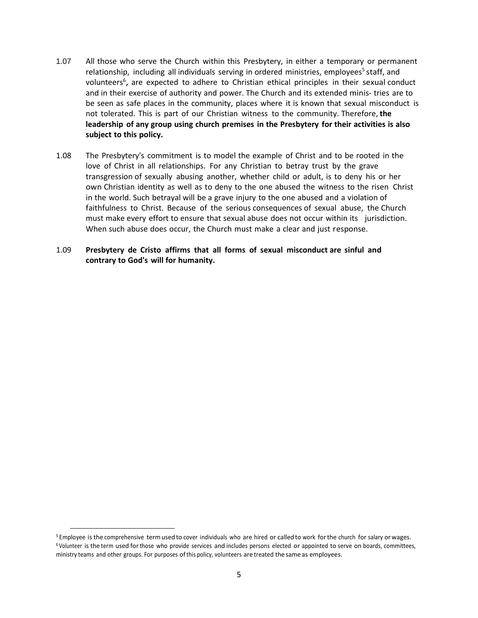- 1.07 All those who serve the Church within this Presbytery, in either a temporary or permanent relationship, including all individuals serving in ordered ministries, employees<sup>5</sup> staff, and volunteers<sup>6</sup>, are expected to adhere to Christian ethical principles in their sexual conduct and in their exercise of authority and power. The Church and its extended minis- tries are to be seen as safe places in the community, places where it is known that sexual misconduct is not tolerated. This is part of our Christian witness to the community. Therefore, **the leadership of any group using church premises in the Presbytery for their activities is also subject to this policy.**
- 1.08 The Presbytery's commitment is to model the example of Christ and to be rooted in the love of Christ in all relationships. For any Christian to betray trust by the grave transgression of sexually abusing another, whether child or adult, is to deny his or her own Christian identity as well as to deny to the one abused the witness to the risen Christ in the world. Such betrayal will be a grave injury to the one abused and a violation of faithfulness to Christ. Because of the serious consequences of sexual abuse, the Church must make every effort to ensure that sexual abuse does not occur within its jurisdiction. When such abuse does occur, the Church must make a clear and just response.
- 1.09 **Presbytery de Cristo affirms that all forms of sexual misconduct are sinful and contrary to God's will for humanity.**

<sup>5</sup> Employee is the comprehensive termusedto cover individuals who are hired or calledto work forthe church for salary orwages. <sup>6</sup> Volunteer is the term used forthose who provide services and includes persons elected or appointed to serve on boards, committees, ministry teams and other groups. For purposes ofthis policy, volunteers are treated the same as employees.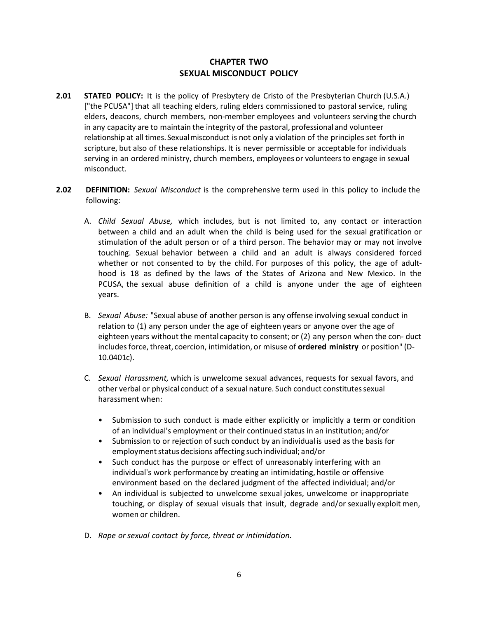### **CHAPTER TWO SEXUAL MISCONDUCT POLICY**

- **2.01 STATED POLICY:** It is the policy of Presbytery de Cristo of the Presbyterian Church (U.S.A.) ["the PCUSA"] that all teaching elders, ruling elders commissioned to pastoral service, ruling elders, deacons, church members, non-member employees and volunteers serving the church in any capacity are to maintain the integrity of the pastoral, professional and volunteer relationship at all times. Sexualmisconduct is not only a violation of the principles set forth in scripture, but also of these relationships. It is never permissible or acceptable for individuals serving in an ordered ministry, church members, employees or volunteersto engage in sexual misconduct.
- **2.02 DEFINITION:** *Sexual Misconduct* is the comprehensive term used in this policy to include the following:
	- A. *Child Sexual Abuse,* which includes, but is not limited to, any contact or interaction between a child and an adult when the child is being used for the sexual gratification or stimulation of the adult person or of a third person. The behavior may or may not involve touching. Sexual behavior between a child and an adult is always considered forced whether or not consented to by the child. For purposes of this policy, the age of adulthood is 18 as defined by the laws of the States of Arizona and New Mexico. In the PCUSA, the sexual abuse definition of a child is anyone under the age of eighteen years.
	- B. *Sexual Abuse:* "Sexual abuse of another person is any offense involving sexual conduct in relation to (1) any person under the age of eighteen years or anyone over the age of eighteen years without the mental capacity to consent; or (2) any person when the con- duct includes force, threat, coercion, intimidation, or misuse of **ordered ministry** or position" (D-10.0401c).
	- C. *Sexual Harassment,* which is unwelcome sexual advances, requests for sexual favors, and other verbal or physical conduct of a sexual nature. Such conduct constitutessexual harassment when:
		- Submission to such conduct is made either explicitly or implicitly a term or condition of an individual's employment or their continued status in an institution; and/or
		- Submission to or rejection of such conduct by an individual is used asthe basis for employment status decisions affecting such individual; and/or
		- Such conduct has the purpose or effect of unreasonably interfering with an individual's work performance by creating an intimidating, hostile or offensive environment based on the declared judgment of the affected individual; and/or
		- An individual is subjected to unwelcome sexual jokes, unwelcome or inappropriate touching, or display of sexual visuals that insult, degrade and/or sexually exploit men, women or children.
	- D. *Rape or sexual contact by force, threat or intimidation.*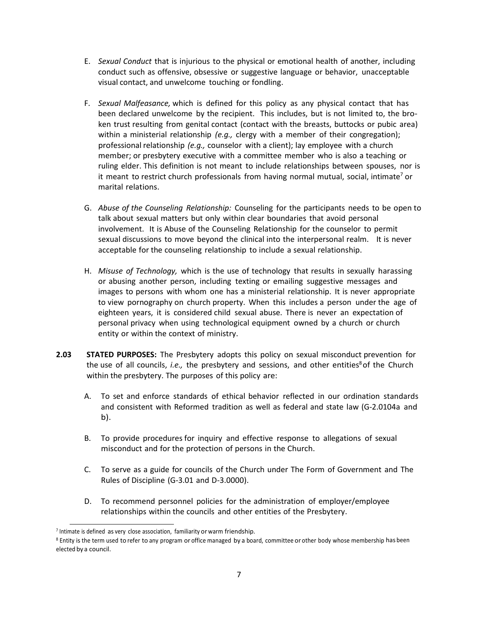- E. *Sexual Conduct* that is injurious to the physical or emotional health of another, including conduct such as offensive, obsessive or suggestive language or behavior, unacceptable visual contact, and unwelcome touching or fondling.
- F. *Sexual Malfeasance,* which is defined for this policy as any physical contact that has been declared unwelcome by the recipient. This includes, but is not limited to, the broken trust resulting from genital contact (contact with the breasts, buttocks or pubic area) within a ministerial relationship *(e.g.,* clergy with a member of their congregation); professional relationship *(e.g.,* counselor with a client); lay employee with a church member; or presbytery executive with a committee member who is also a teaching or ruling elder. This definition is not meant to include relationships between spouses, nor is it meant to restrict church professionals from having normal mutual, social, intimate<sup>7</sup> or marital relations.
- G. *Abuse of the Counseling Relationship:* Counseling for the participants needs to be open to talk about sexual matters but only within clear boundaries that avoid personal involvement. It is Abuse of the Counseling Relationship for the counselor to permit sexual discussions to move beyond the clinical into the interpersonal realm. It is never acceptable for the counseling relationship to include a sexual relationship.
- H. *Misuse of Technology,* which is the use of technology that results in sexually harassing or abusing another person, including texting or emailing suggestive messages and images to persons with whom one has a ministerial relationship. It is never appropriate to view pornography on church property. When this includes a person under the age of eighteen years, it is considered child sexual abuse. There is never an expectation of personal privacy when using technological equipment owned by a church or church entity or within the context of ministry.
- **2.03 STATED PURPOSES:** The Presbytery adopts this policy on sexual misconduct prevention for the use of all councils, *i.e.,* the presbytery and sessions, and other entities <sup>8</sup>of the Church within the presbytery. The purposes of this policy are:
	- A. To set and enforce standards of ethical behavior reflected in our ordination standards and consistent with Reformed tradition as well as federal and state law (G-2.0104a and b).
	- B. To provide procedures for inquiry and effective response to allegations of sexual misconduct and for the protection of persons in the Church.
	- C. To serve as a guide for councils of the Church under The Form of Government and The Rules of Discipline (G-3.01 and D-3.0000).
	- D. To recommend personnel policies for the administration of employer/employee relationships within the councils and other entities of the Presbytery.

<sup>&</sup>lt;sup>7</sup> Intimate is defined as very close association, familiarity or warm friendship.

<sup>&</sup>lt;sup>8</sup> Entity is the term used to refer to any program or office managed by a board, committee or other body whose membership has been elected by a council.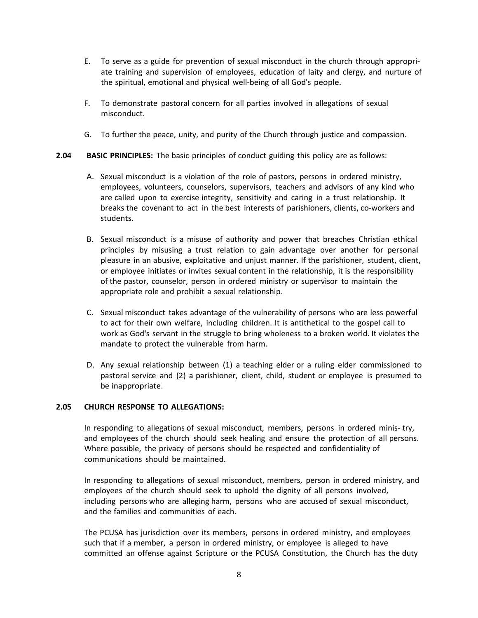- E. To serve as a guide for prevention of sexual misconduct in the church through appropriate training and supervision of employees, education of laity and clergy, and nurture of the spiritual, emotional and physical well-being of all God's people.
- F. To demonstrate pastoral concern for all parties involved in allegations of sexual misconduct.
- G. To further the peace, unity, and purity of the Church through justice and compassion.

#### **2.04 BASIC PRINCIPLES:** The basic principles of conduct guiding this policy are as follows:

- A. Sexual misconduct is a violation of the role of pastors, persons in ordered ministry, employees, volunteers, counselors, supervisors, teachers and advisors of any kind who are called upon to exercise integrity, sensitivity and caring in a trust relationship. It breaks the covenant to act in the best interests of parishioners, clients, co-workers and students.
- B. Sexual misconduct is a misuse of authority and power that breaches Christian ethical principles by misusing a trust relation to gain advantage over another for personal pleasure in an abusive, exploitative and unjust manner. If the parishioner, student, client, or employee initiates or invites sexual content in the relationship, it is the responsibility of the pastor, counselor, person in ordered ministry or supervisor to maintain the appropriate role and prohibit a sexual relationship.
- C. Sexual misconduct takes advantage of the vulnerability of persons who are less powerful to act for their own welfare, including children. It is antithetical to the gospel call to work as God's servant in the struggle to bring wholeness to a broken world. It violates the mandate to protect the vulnerable from harm.
- D. Any sexual relationship between (1) a teaching elder or a ruling elder commissioned to pastoral service and (2) a parishioner, client, child, student or employee is presumed to be inappropriate.

#### **2.05 CHURCH RESPONSE TO ALLEGATIONS:**

In responding to allegations of sexual misconduct, members, persons in ordered minis- try, and employees of the church should seek healing and ensure the protection of all persons. Where possible, the privacy of persons should be respected and confidentiality of communications should be maintained.

In responding to allegations of sexual misconduct, members, person in ordered ministry, and employees of the church should seek to uphold the dignity of all persons involved, including persons who are alleging harm, persons who are accused of sexual misconduct, and the families and communities of each.

The PCUSA has jurisdiction over its members, persons in ordered ministry, and employees such that if a member, a person in ordered ministry, or employee is alleged to have committed an offense against Scripture or the PCUSA Constitution, the Church has the duty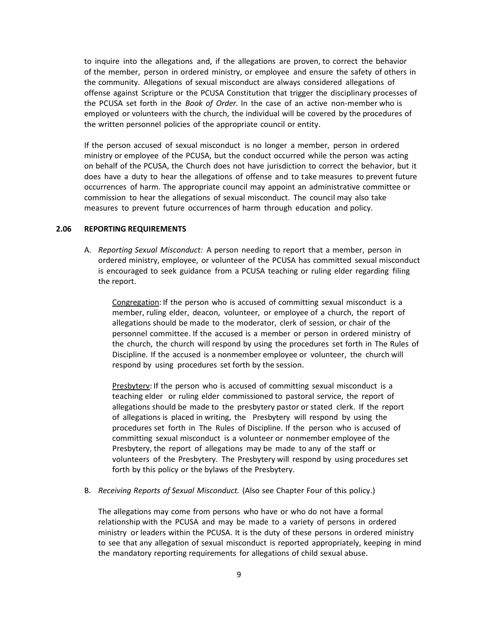to inquire into the allegations and, if the allegations are proven, to correct the behavior of the member, person in ordered ministry, or employee and ensure the safety of others in the community. Allegations of sexual misconduct are always considered allegations of offense against Scripture or the PCUSA Constitution that trigger the disciplinary processes of the PCUSA set forth in the *Book of Order.* In the case of an active non-member who is employed or volunteers with the church, the individual will be covered by the procedures of the written personnel policies of the appropriate council or entity.

If the person accused of sexual misconduct is no longer a member, person in ordered ministry or employee of the PCUSA, but the conduct occurred while the person was acting on behalf of the PCUSA, the Church does not have jurisdiction to correct the behavior, but it does have a duty to hear the allegations of offense and to take measures to prevent future occurrences of harm. The appropriate council may appoint an administrative committee or commission to hear the allegations of sexual misconduct. The council may also take measures to prevent future occurrences of harm through education and policy.

#### **2.06 REPORTING REQUIREMENTS**

A. *Reporting Sexual Misconduct:* A person needing to report that a member, person in ordered ministry, employee, or volunteer of the PCUSA has committed sexual misconduct is encouraged to seek guidance from a PCUSA teaching or ruling elder regarding filing the report.

Congregation: If the person who is accused of committing sexual misconduct is a member, ruling elder, deacon, volunteer, or employee of a church, the report of allegations should be made to the moderator, clerk of session, or chair of the personnel committee. If the accused is a member or person in ordered ministry of the church, the church will respond by using the procedures set forth in The Rules of Discipline. If the accused is a nonmember employee or volunteer, the church will respond by using procedures set forth by the session.

Presbyterv: If the person who is accused of committing sexual misconduct is a teaching elder or ruling elder commissioned to pastoral service, the report of allegations should be made to the presbytery pastor or stated clerk. If the report of allegations is placed in writing, the Presbytery will respond by using the procedures set forth in The Rules of Discipline. If the person who is accused of committing sexual misconduct is a volunteer or nonmember employee of the Presbytery, the report of allegations may be made to any of the staff or volunteers of the Presbytery. The Presbytery will respond by using procedures set forth by this policy or the bylaws of the Presbytery.

B. *Receiving Reports of Sexual Misconduct.* (Also see Chapter Four of this policy.)

The allegations may come from persons who have or who do not have a formal relationship with the PCUSA and may be made to a variety of persons in ordered ministry or leaders within the PCUSA. It is the duty of these persons in ordered ministry to see that any allegation of sexual misconduct is reported appropriately, keeping in mind the mandatory reporting requirements for allegations of child sexual abuse.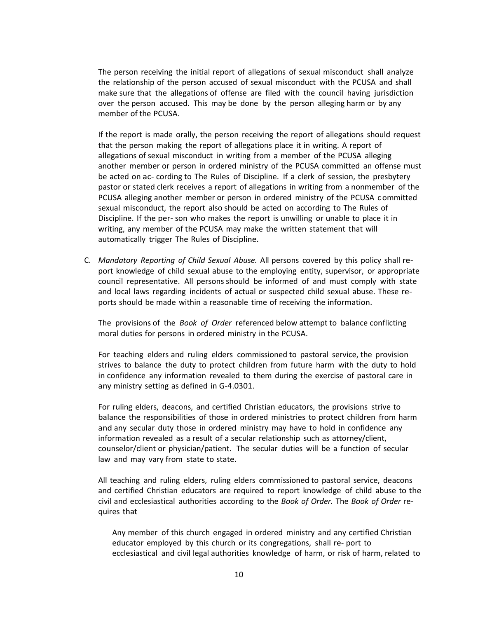The person receiving the initial report of allegations of sexual misconduct shall analyze the relationship of the person accused of sexual misconduct with the PCUSA and shall make sure that the allegations of offense are filed with the council having jurisdiction over the person accused. This may be done by the person alleging harm or by any member of the PCUSA.

If the report is made orally, the person receiving the report of allegations should request that the person making the report of allegations place it in writing. A report of allegations of sexual misconduct in writing from a member of the PCUSA alleging another member or person in ordered ministry of the PCUSA committed an offense must be acted on ac- cording to The Rules of Discipline. If a clerk of session, the presbytery pastor or stated clerk receives a report of allegations in writing from a nonmember of the PCUSA alleging another member or person in ordered ministry of the PCUSA c ommitted sexual misconduct, the report also should be acted on according to The Rules of Discipline. If the per- son who makes the report is unwilling or unable to place it in writing, any member of the PCUSA may make the written statement that will automatically trigger The Rules of Discipline.

C. *Mandatory Reporting of Child Sexual Abuse.* All persons covered by this policy shall report knowledge of child sexual abuse to the employing entity, supervisor, or appropriate council representative. All persons should be informed of and must comply with state and local laws regarding incidents of actual or suspected child sexual abuse. These reports should be made within a reasonable time of receiving the information.

The provisions of the *Book of Order* referenced below attempt to balance conflicting moral duties for persons in ordered ministry in the PCUSA.

For teaching elders and ruling elders commissioned to pastoral service, the provision strives to balance the duty to protect children from future harm with the duty to hold in confidence any information revealed to them during the exercise of pastoral care in any ministry setting as defined in G-4.0301.

For ruling elders, deacons, and certified Christian educators, the provisions strive to balance the responsibilities of those in ordered ministries to protect children from harm and any secular duty those in ordered ministry may have to hold in confidence any information revealed as a result of a secular relationship such as attorney/client, counselor/client or physician/patient. The secular duties will be a function of secular law and may vary from state to state.

All teaching and ruling elders, ruling elders commissioned to pastoral service, deacons and certified Christian educators are required to report knowledge of child abuse to the civil and ecclesiastical authorities according to the *Book of Order.* The *Book of Order* requires that

Any member of this church engaged in ordered ministry and any certified Christian educator employed by this church or its congregations, shall re- port to ecclesiastical and civil legal authorities knowledge of harm, or risk of harm, related to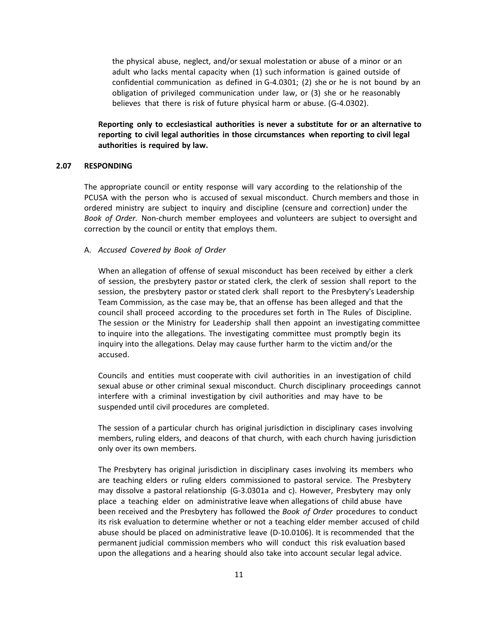the physical abuse, neglect, and/or sexual molestation or abuse of a minor or an adult who lacks mental capacity when (1) such information is gained outside of confidential communication as defined in G-4.0301; (2) she or he is not bound by an obligation of privileged communication under law, or (3) she or he reasonably believes that there is risk of future physical harm or abuse. (G-4.0302).

**Reporting only to ecclesiastical authorities is never a substitute for or an alternative to reporting to civil legal authorities in those circumstances when reporting to civil legal authorities is required by law.**

#### **2.07 RESPONDING**

The appropriate council or entity response will vary according to the relationship of the PCUSA with the person who is accused of sexual misconduct. Church members and those in ordered ministry are subject to inquiry and discipline (censure and correction) under the *Book of Order.* Non-church member employees and volunteers are subject to oversight and correction by the council or entity that employs them.

#### A. *Accused Covered by Book of Order*

When an allegation of offense of sexual misconduct has been received by either a clerk of session, the presbytery pastor or stated clerk, the clerk of session shall report to the session, the presbytery pastor or stated clerk shall report to the Presbytery's Leadership Team Commission, as the case may be, that an offense has been alleged and that the council shall proceed according to the procedures set forth in The Rules of Discipline. The session or the Ministry for Leadership shall then appoint an investigating committee to inquire into the allegations. The investigating committee must promptly begin its inquiry into the allegations. Delay may cause further harm to the victim and/or the accused.

Councils and entities must cooperate with civil authorities in an investigation of child sexual abuse or other criminal sexual misconduct. Church disciplinary proceedings cannot interfere with a criminal investigation by civil authorities and may have to be suspended until civil procedures are completed.

The session of a particular church has original jurisdiction in disciplinary cases involving members, ruling elders, and deacons of that church, with each church having jurisdiction only over its own members.

The Presbytery has original jurisdiction in disciplinary cases involving its members who are teaching elders or ruling elders commissioned to pastoral service. The Presbytery may dissolve a pastoral relationship (G-3.0301a and c). However, Presbytery may only place a teaching elder on administrative leave when allegations of child abuse have been received and the Presbytery has followed the *Book of Order* procedures to conduct its risk evaluation to determine whether or not a teaching elder member accused of child abuse should be placed on administrative leave (D-10.0106). It is recommended that the permanent judicial commission members who will conduct this risk evaluation based upon the allegations and a hearing should also take into account secular legal advice.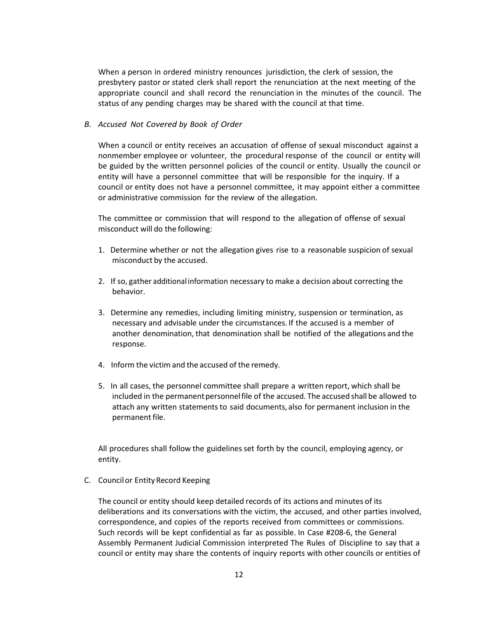When a person in ordered ministry renounces jurisdiction, the clerk of session, the presbytery pastor or stated clerk shall report the renunciation at the next meeting of the appropriate council and shall record the renunciation in the minutes of the council. The status of any pending charges may be shared with the council at that time.

#### *B. Accused Not Covered by Book of Order*

When a council or entity receives an accusation of offense of sexual misconduct against a nonmember employee or volunteer, the procedural response of the council or entity will be guided by the written personnel policies of the council or entity. Usually the council or entity will have a personnel committee that will be responsible for the inquiry. If a council or entity does not have a personnel committee, it may appoint either a committee or administrative commission for the review of the allegation.

The committee or commission that will respond to the allegation of offense of sexual misconduct will do the following:

- 1. Determine whether or not the allegation gives rise to a reasonable suspicion of sexual misconduct by the accused.
- 2. If so, gather additional information necessary to make a decision about correcting the behavior.
- 3. Determine any remedies, including limiting ministry, suspension or termination, as necessary and advisable under the circumstances. If the accused is a member of another denomination, that denomination shall be notified of the allegations and the response.
- 4. Inform the victim and the accused of the remedy.
- 5. In all cases, the personnel committee shall prepare a written report, which shall be included in the permanent personnel file of the accused. The accused shall be allowed to attach any written statements to said documents, also for permanent inclusion in the permanent file.

All procedures shall follow the guidelines set forth by the council, employing agency, or entity.

C. Councilor EntityRecord Keeping

The council or entity should keep detailed records of its actions and minutes of its deliberations and its conversations with the victim, the accused, and other parties involved, correspondence, and copies of the reports received from committees or commissions. Such records will be kept confidential as far as possible. In Case #208-6, the General Assembly Permanent Judicial Commission interpreted The Rules of Discipline to say that a council or entity may share the contents of inquiry reports with other councils or entities of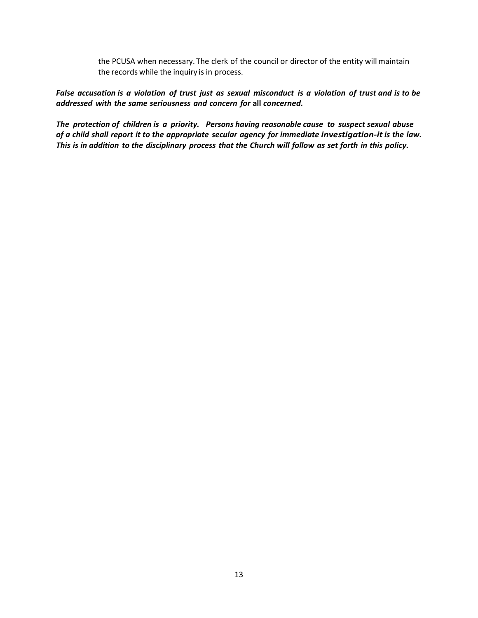the PCUSA when necessary. The clerk of the council or director of the entity will maintain the records while the inquiry is in process.

False accusation is a violation of trust just as sexual misconduct is a violation of trust and is to be *addressed with the same seriousness and concern for* **all** *concerned.*

*The protection of children is a priority. Persons having reasonable cause to suspect sexual abuse of a child shall report it to the appropriate secular agency for immediate investigation-it is the law.*  This is in addition to the disciplinary process that the Church will follow as set forth in this policy.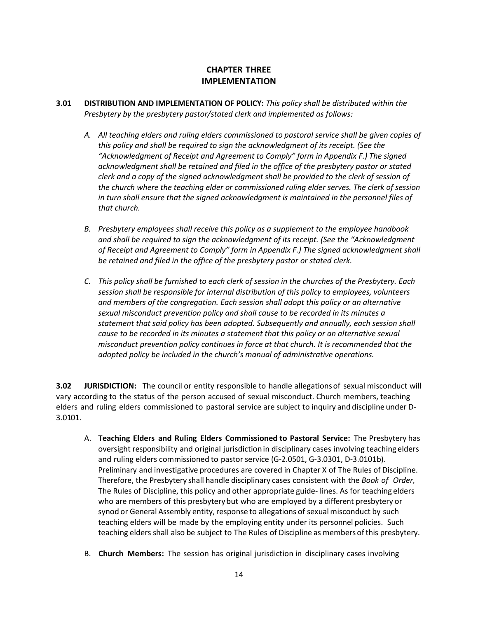## **CHAPTER THREE IMPLEMENTATION**

- **3.01 DISTRIBUTION AND IMPLEMENTATION OF POLICY:** *This policy shall be distributed within the Presbytery by the presbytery pastor/stated clerk and implemented as follows:*
	- *A. All teaching elders and ruling elders commissioned to pastoral service shall be given copies of this policy and shall be required to sign the acknowledgment of its receipt. (See the "Acknowledgment of Receipt and Agreement to Comply" form in Appendix F.) The signed acknowledgment shall be retained and filed in the office of the presbytery pastor or stated clerk and a copy of the signed acknowledgment shall be provided to the clerk of session of the church where the teaching elder or commissioned ruling elder serves. The clerk of session in turn shall ensure that the signed acknowledgment is maintained in the personnel files of that church.*
	- *B. Presbytery employees shall receive this policy as a supplement to the employee handbook and shall be required to sign the acknowledgment of its receipt. (See the "Acknowledgment of Receipt and Agreement to Comply" form in Appendix F.) The signed acknowledgment shall be retained and filed in the office of the presbytery pastor or stated clerk.*
	- *C. This policy shall be furnished to each clerk of session in the churches of the Presbytery. Each session shall be responsible for internal distribution of this policy to employees, volunteers and members of the congregation. Each session shall adopt this policy or an alternative sexual misconduct prevention policy and shall cause to be recorded in its minutes a statement that said policy has been adopted. Subsequently and annually, each session shall cause to be recorded in its minutes a statement that this policy or an alternative sexual misconduct prevention policy continues in force at that church. It is recommended that the adopted policy be included in the church's manual of administrative operations.*

**3.02 JURISDICTION:** The council or entity responsible to handle allegationsof sexual misconduct will vary according to the status of the person accused of sexual misconduct. Church members, teaching elders and ruling elders commissioned to pastoral service are subject to inquiry and discipline under D-3.0101.

- A. **Teaching Elders and Ruling Elders Commissioned to Pastoral Service:** The Presbytery has oversight responsibility and original jurisdictionin disciplinary cases involving teaching elders and ruling elders commissioned to pastorservice (G-2.0501, G-3.0301, D-3.0101b). Preliminary and investigative procedures are covered in Chapter X of The Rules of Discipline. Therefore, the Presbytery shall handle disciplinary cases consistent with the *Book of Order,* The Rules of Discipline, this policy and other appropriate guide- lines. As for teaching elders who are members of this presbytery but who are employed by a different presbytery or synod or General Assembly entity, response to allegations of sexual misconduct by such teaching elders will be made by the employing entity under its personnel policies. Such teaching elders shall also be subject to The Rules of Discipline as members ofthis presbytery.
- B. **Church Members:** The session has original jurisdiction in disciplinary cases involving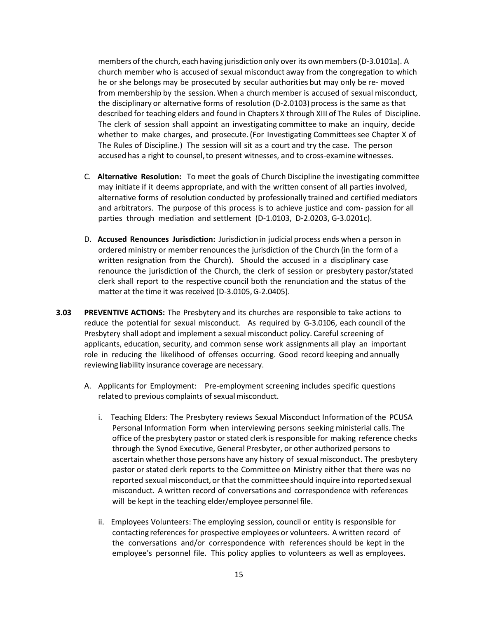members ofthe church, each having jurisdiction only over its own members (D-3.0101a). A church member who is accused of sexual misconduct away from the congregation to which he or she belongs may be prosecuted by secular authorities but may only be re- moved from membership by the session. When a church member is accused of sexual misconduct, the disciplinary or alternative forms of resolution (D-2.0103) process is the same as that described for teaching elders and found in Chapters X through XIII of The Rules of Discipline. The clerk of session shall appoint an investigating committee to make an inquiry, decide whether to make charges, and prosecute. (For Investigating Committees see Chapter X of The Rules of Discipline.) The session will sit as a court and try the case. The person accused has a right to counsel, to present witnesses, and to cross-examine witnesses.

- C. **Alternative Resolution:** To meet the goals of Church Discipline the investigating committee may initiate if it deems appropriate, and with the written consent of all parties involved, alternative forms of resolution conducted by professionally trained and certified mediators and arbitrators. The purpose of this process is to achieve justice and com- passion for all parties through mediation and settlement (D-1.0103, D-2.0203, G-3.0201c).
- D. **Accused Renounces Jurisdiction:** Jurisdiction in judicialprocess ends when a person in ordered ministry or member renouncesthe jurisdiction of the Church (in the form of a written resignation from the Church). Should the accused in a disciplinary case renounce the jurisdiction of the Church, the clerk of session or presbytery pastor/stated clerk shall report to the respective council both the renunciation and the status of the matter at the time it was received (D-3.0105, G-2.0405).
- **3.03 PREVENTIVE ACTIONS:** The Presbytery and its churches are responsible to take actions to reduce the potential for sexual misconduct. As required by G-3.0106, each council of the Presbytery shall adopt and implement a sexual misconduct policy. Careful screening of applicants, education, security, and common sense work assignments all play an important role in reducing the likelihood of offenses occurring. Good record keeping and annually reviewing liability insurance coverage are necessary.
	- A. Applicants for Employment:Pre-employment screening includes specific questions related to previous complaints of sexual misconduct.
		- i. Teaching Elders: The Presbytery reviews Sexual Misconduct Information of the PCUSA Personal Information Form when interviewing persons seeking ministerial calls. The office of the presbytery pastor or stated clerk is responsible for making reference checks through the Synod Executive, General Presbyter, or other authorized persons to ascertain whether those persons have any history of sexual misconduct. The presbytery pastor or stated clerk reports to the Committee on Ministry either that there was no reported sexual misconduct, or that the committeeshould inquire into reportedsexual misconduct. A written record of conversations and correspondence with references will be kept in the teaching elder/employee personnel file.
		- ii. Employees Volunteers: The employing session, council or entity is responsible for contacting references for prospective employees or volunteers. A written record of the conversations and/or correspondence with references should be kept in the employee's personnel file. This policy applies to volunteers as well as employees.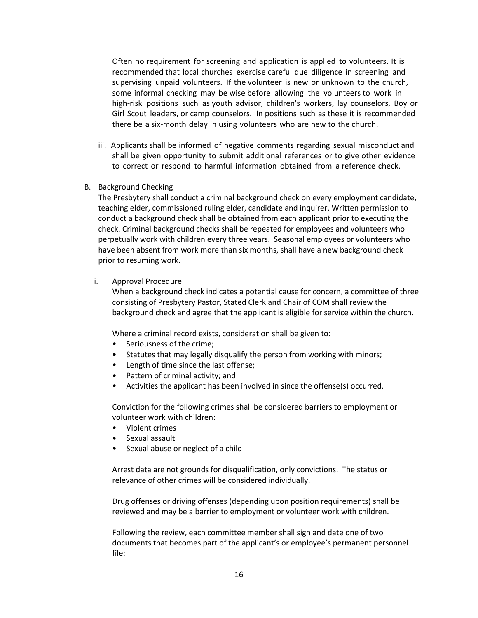Often no requirement for screening and application is applied to volunteers. It is recommended that local churches exercise careful due diligence in screening and supervising unpaid volunteers. If the volunteer is new or unknown to the church, some informal checking may be wise before allowing the volunteers to work in high-risk positions such as youth advisor, children's workers, lay counselors, Boy or Girl Scout leaders, or camp counselors. In positions such as these it is recommended there be a six-month delay in using volunteers who are new to the church.

- iii. Applicants shall be informed of negative comments regarding sexual misconduct and shall be given opportunity to submit additional references or to give other evidence to correct or respond to harmful information obtained from a reference check.
- B. Background Checking

The Presbytery shall conduct a criminal background check on every employment candidate, teaching elder, commissioned ruling elder, candidate and inquirer. Written permission to conduct a background check shall be obtained from each applicant prior to executing the check. Criminal background checks shall be repeated for employees and volunteers who perpetually work with children every three years. Seasonal employees or volunteers who have been absent from work more than six months, shall have a new background check prior to resuming work.

#### i. Approval Procedure

When a background check indicates a potential cause for concern, a committee of three consisting of Presbytery Pastor, Stated Clerk and Chair of COM shall review the background check and agree that the applicant is eligible for service within the church.

Where a criminal record exists, consideration shall be given to:

- Seriousness of the crime;
- Statutes that may legally disqualify the person from working with minors;
- Length of time since the last offense;
- Pattern of criminal activity; and
- Activities the applicant has been involved in since the offense(s) occurred.

Conviction for the following crimes shall be considered barriers to employment or volunteer work with children:

- Violent crimes
- Sexual assault
- Sexual abuse or neglect of a child

Arrest data are not grounds for disqualification, only convictions. The status or relevance of other crimes will be considered individually.

Drug offenses or driving offenses (depending upon position requirements) shall be reviewed and may be a barrier to employment or volunteer work with children.

Following the review, each committee member shall sign and date one of two documents that becomes part of the applicant's or employee's permanent personnel file: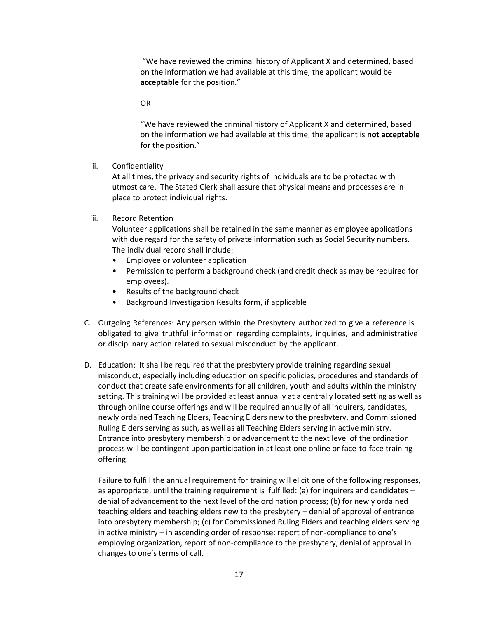"We have reviewed the criminal history of Applicant X and determined, based on the information we had available at this time, the applicant would be **acceptable** for the position."

OR

"We have reviewed the criminal history of Applicant X and determined, based on the information we had available at this time, the applicant is **not acceptable** for the position."

ii. Confidentiality

At all times, the privacy and security rights of individuals are to be protected with utmost care. The Stated Clerk shall assure that physical means and processes are in place to protect individual rights.

iii. Record Retention

Volunteer applications shall be retained in the same manner as employee applications with due regard for the safety of private information such as Social Security numbers. The individual record shall include:

- Employee or volunteer application
- Permission to perform a background check (and credit check as may be required for employees).
- Results of the background check
- Background Investigation Results form, if applicable
- C. Outgoing References: Any person within the Presbytery authorized to give a reference is obligated to give truthful information regarding complaints, inquiries, and administrative or disciplinary action related to sexual misconduct by the applicant.
- D. Education: It shall be required that the presbytery provide training regarding sexual misconduct, especially including education on specific policies, procedures and standards of conduct that create safe environments for all children, youth and adults within the ministry setting. This training will be provided at least annually at a centrally located setting as well as through online course offerings and will be required annually of all inquirers, candidates, newly ordained Teaching Elders, Teaching Elders new to the presbytery, and Commissioned Ruling Elders serving as such, as well as all Teaching Elders serving in active ministry. Entrance into presbytery membership or advancement to the next level of the ordination process will be contingent upon participation in at least one online or face-to-face training offering.

Failure to fulfill the annual requirement for training will elicit one of the following responses, as appropriate, until the training requirement is fulfilled: (a) for inquirers and candidates – denial of advancement to the next level of the ordination process; (b) for newly ordained teaching elders and teaching elders new to the presbytery – denial of approval of entrance into presbytery membership; (c) for Commissioned Ruling Elders and teaching elders serving in active ministry – in ascending order of response: report of non-compliance to one's employing organization, report of non-compliance to the presbytery, denial of approval in changes to one's terms of call.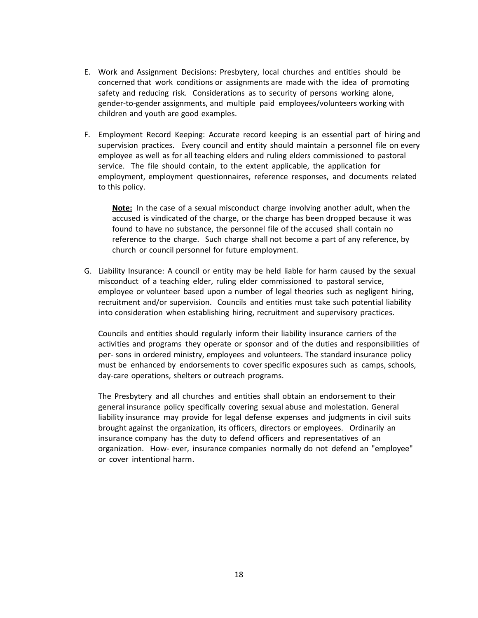- E. Work and Assignment Decisions: Presbytery, local churches and entities should be concerned that work conditions or assignments are made with the idea of promoting safety and reducing risk. Considerations as to security of persons working alone, gender-to-gender assignments, and multiple paid employees/volunteers working with children and youth are good examples.
- F. Employment Record Keeping: Accurate record keeping is an essential part of hiring and supervision practices. Every council and entity should maintain a personnel file on every employee as well as for all teaching elders and ruling elders commissioned to pastoral service. The file should contain, to the extent applicable, the application for employment, employment questionnaires, reference responses, and documents related to this policy.

**Note:** In the case of a sexual misconduct charge involving another adult, when the accused is vindicated of the charge, or the charge has been dropped because it was found to have no substance, the personnel file of the accused shall contain no reference to the charge. Such charge shall not become a part of any reference, by church or council personnel for future employment.

G. Liability Insurance: A council or entity may be held liable for harm caused by the sexual misconduct of a teaching elder, ruling elder commissioned to pastoral service, employee or volunteer based upon a number of legal theories such as negligent hiring, recruitment and/or supervision. Councils and entities must take such potential liability into consideration when establishing hiring, recruitment and supervisory practices.

Councils and entities should regularly inform their liability insurance carriers of the activities and programs they operate or sponsor and of the duties and responsibilities of per- sons in ordered ministry, employees and volunteers. The standard insurance policy must be enhanced by endorsements to cover specific exposures such as camps, schools, day-care operations, shelters or outreach programs.

The Presbytery and all churches and entities shall obtain an endorsement to their general insurance policy specifically covering sexual abuse and molestation. General liability insurance may provide for legal defense expenses and judgments in civil suits brought against the organization, its officers, directors or employees. Ordinarily an insurance company has the duty to defend officers and representatives of an organization. How- ever, insurance companies normally do not defend an "employee" or cover intentional harm.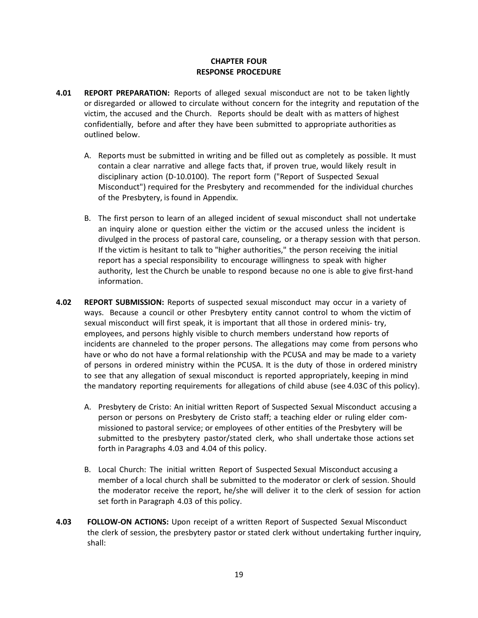#### **CHAPTER FOUR RESPONSE PROCEDURE**

- **4.01 REPORT PREPARATION:** Reports of alleged sexual misconduct are not to be taken lightly or disregarded or allowed to circulate without concern for the integrity and reputation of the victim, the accused and the Church. Reports should be dealt with as matters of highest confidentially, before and after they have been submitted to appropriate authorities as outlined below.
	- A. Reports must be submitted in writing and be filled out as completely as possible. It must contain a clear narrative and allege facts that, if proven true, would likely result in disciplinary action (D-10.0100). The report form ("Report of Suspected Sexual Misconduct") required for the Presbytery and recommended for the individual churches of the Presbytery, is found in Appendix.
	- B. The first person to learn of an alleged incident of sexual misconduct shall not undertake an inquiry alone or question either the victim or the accused unless the incident is divulged in the process of pastoral care, counseling, or a therapy session with that person. If the victim is hesitant to talk to "higher authorities," the person receiving the initial report has a special responsibility to encourage willingness to speak with higher authority, lest the Church be unable to respond because no one is able to give first-hand information.
- **4.02 REPORT SUBMISSION:** Reports of suspected sexual misconduct may occur in a variety of ways. Because a council or other Presbytery entity cannot control to whom the victim of sexual misconduct will first speak, it is important that all those in ordered minis- try, employees, and persons highly visible to church members understand how reports of incidents are channeled to the proper persons. The allegations may come from persons who have or who do not have a formal relationship with the PCUSA and may be made to a variety of persons in ordered ministry within the PCUSA. It is the duty of those in ordered ministry to see that any allegation of sexual misconduct is reported appropriately, keeping in mind the mandatory reporting requirements for allegations of child abuse (see 4.03C of this policy).
	- A. Presbytery de Cristo: An initial written Report of Suspected Sexual Misconduct accusing a person or persons on Presbytery de Cristo staff; a teaching elder or ruling elder commissioned to pastoral service; or employees of other entities of the Presbytery will be submitted to the presbytery pastor/stated clerk, who shall undertake those actions set forth in Paragraphs 4.03 and 4.04 of this policy.
	- B. Local Church: The initial written Report of Suspected Sexual Misconduct accusing a member of a local church shall be submitted to the moderator or clerk of session. Should the moderator receive the report, he/she will deliver it to the clerk of session for action set forth in Paragraph 4.03 of this policy.
- **4.03 FOLLOW-ON ACTIONS:** Upon receipt of a written Report of Suspected Sexual Misconduct the clerk of session, the presbytery pastor or stated clerk without undertaking further inquiry, shall: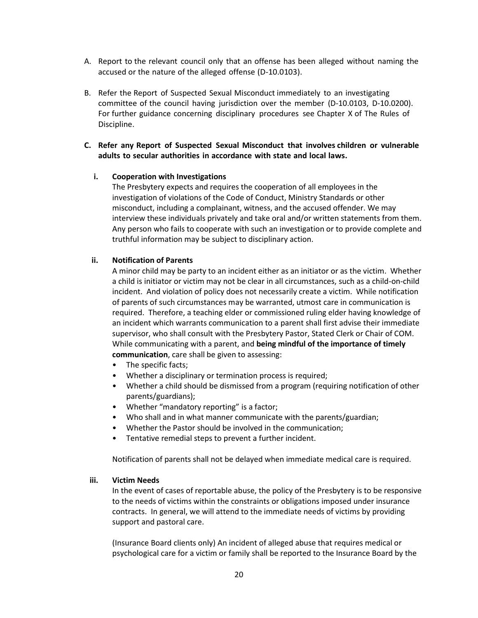- A. Report to the relevant council only that an offense has been alleged without naming the accused or the nature of the alleged offense (D-10.0103).
- B. Refer the Report of Suspected Sexual Misconduct immediately to an investigating committee of the council having jurisdiction over the member (D-10.0103, D-10.0200). For further guidance concerning disciplinary procedures see Chapter X of The Rules of Discipline.

### **C. Refer any Report of Suspected Sexual Misconduct that involves children or vulnerable adults to secular authorities in accordance with state and local laws.**

#### **i. Cooperation with Investigations**

The Presbytery expects and requires the cooperation of all employees in the investigation of violations of the Code of Conduct, Ministry Standards or other misconduct, including a complainant, witness, and the accused offender. We may interview these individuals privately and take oral and/or written statements from them. Any person who fails to cooperate with such an investigation or to provide complete and truthful information may be subject to disciplinary action.

#### **ii. Notification of Parents**

A minor child may be party to an incident either as an initiator or as the victim. Whether a child is initiator or victim may not be clear in all circumstances, such as a child-on-child incident. And violation of policy does not necessarily create a victim. While notification of parents of such circumstances may be warranted, utmost care in communication is required. Therefore, a teaching elder or commissioned ruling elder having knowledge of an incident which warrants communication to a parent shall first advise their immediate supervisor, who shall consult with the Presbytery Pastor, Stated Clerk or Chair of COM. While communicating with a parent, and **being mindful of the importance of timely communication**, care shall be given to assessing:

- The specific facts;
- Whether a disciplinary or termination process is required;
- Whether a child should be dismissed from a program (requiring notification of other parents/guardians);
- Whether "mandatory reporting" is a factor;
- Who shall and in what manner communicate with the parents/guardian;
- Whether the Pastor should be involved in the communication;
- Tentative remedial steps to prevent a further incident.

Notification of parents shall not be delayed when immediate medical care is required.

#### **iii. Victim Needs**

In the event of cases of reportable abuse, the policy of the Presbytery is to be responsive to the needs of victims within the constraints or obligations imposed under insurance contracts. In general, we will attend to the immediate needs of victims by providing support and pastoral care.

(Insurance Board clients only) An incident of alleged abuse that requires medical or psychological care for a victim or family shall be reported to the Insurance Board by the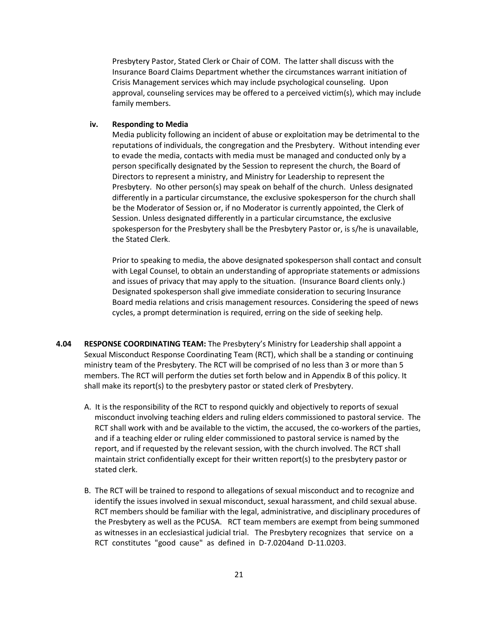Presbytery Pastor, Stated Clerk or Chair of COM. The latter shall discuss with the Insurance Board Claims Department whether the circumstances warrant initiation of Crisis Management services which may include psychological counseling. Upon approval, counseling services may be offered to a perceived victim(s), which may include family members.

#### **iv. Responding to Media**

Media publicity following an incident of abuse or exploitation may be detrimental to the reputations of individuals, the congregation and the Presbytery. Without intending ever to evade the media, contacts with media must be managed and conducted only by a person specifically designated by the Session to represent the church, the Board of Directors to represent a ministry, and Ministry for Leadership to represent the Presbytery. No other person(s) may speak on behalf of the church. Unless designated differently in a particular circumstance, the exclusive spokesperson for the church shall be the Moderator of Session or, if no Moderator is currently appointed, the Clerk of Session. Unless designated differently in a particular circumstance, the exclusive spokesperson for the Presbytery shall be the Presbytery Pastor or, is s/he is unavailable, the Stated Clerk.

Prior to speaking to media, the above designated spokesperson shall contact and consult with Legal Counsel, to obtain an understanding of appropriate statements or admissions and issues of privacy that may apply to the situation. (Insurance Board clients only.) Designated spokesperson shall give immediate consideration to securing Insurance Board media relations and crisis management resources. Considering the speed of news cycles, a prompt determination is required, erring on the side of seeking help.

- **4.04 RESPONSE COORDINATING TEAM:** The Presbytery's Ministry for Leadership shall appoint a Sexual Misconduct Response Coordinating Team (RCT), which shall be a standing or continuing ministry team of the Presbytery. The RCT will be comprised of no less than 3 or more than 5 members. The RCT will perform the duties set forth below and in Appendix B of this policy. It shall make its report(s) to the presbytery pastor or stated clerk of Presbytery.
	- A. It is the responsibility of the RCT to respond quickly and objectively to reports of sexual misconduct involving teaching elders and ruling elders commissioned to pastoral service. The RCT shall work with and be available to the victim, the accused, the co-workers of the parties, and if a teaching elder or ruling elder commissioned to pastoral service is named by the report, and if requested by the relevant session, with the church involved. The RCT shall maintain strict confidentially except for their written report(s) to the presbytery pastor or stated clerk.
	- B. The RCT will be trained to respond to allegations of sexual misconduct and to recognize and identify the issues involved in sexual misconduct, sexual harassment, and child sexual abuse. RCT members should be familiar with the legal, administrative, and disciplinary procedures of the Presbytery as well as the PCUSA. RCT team members are exempt from being summoned as witnesses in an ecclesiastical judicial trial. The Presbytery recognizes that service on a RCT constitutes "good cause" as defined in D-7.0204and D-11.0203.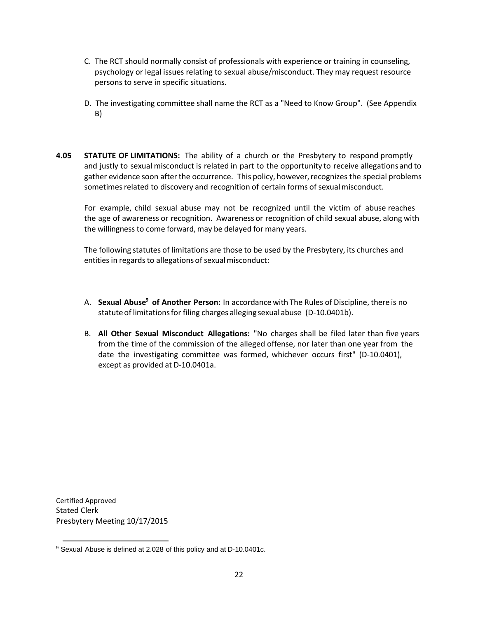- C. The RCT should normally consist of professionals with experience or training in counseling, psychology or legal issues relating to sexual abuse/misconduct. They may request resource persons to serve in specific situations.
- D. The investigating committee shall name the RCT as a "Need to Know Group". (See Appendix B)
- **4.05 STATUTE OF LIMITATIONS:** The ability of a church or the Presbytery to respond promptly and justly to sexual misconduct is related in part to the opportunity to receive allegations and to gather evidence soon afterthe occurrence. This policy, however,recognizes the special problems sometimes related to discovery and recognition of certain forms of sexual misconduct.

For example, child sexual abuse may not be recognized until the victim of abuse reaches the age of awareness or recognition. Awareness or recognition of child sexual abuse, along with the willingness to come forward, may be delayed for many years.

The following statutes of limitations are those to be used by the Presbytery, its churches and entities in regards to allegations of sexual misconduct:

- A. **Sexual Abuse <sup>9</sup> of Another Person:** In accordance with The Rules of Discipline, there is no statuteof limitationsfor filing charges alleging sexual abuse (D-10.0401b).
- B. **All Other Sexual Misconduct Allegations:** "No charges shall be filed later than five years from the time of the commission of the alleged offense, nor later than one year from the date the investigating committee was formed, whichever occurs first" (D-10.0401), except as provided at D-10.0401a.

Certified Approved Stated Clerk Presbytery Meeting 10/17/2015

<sup>9</sup> Sexual Abuse is defined at 2.028 of this policy and at D-10.0401c.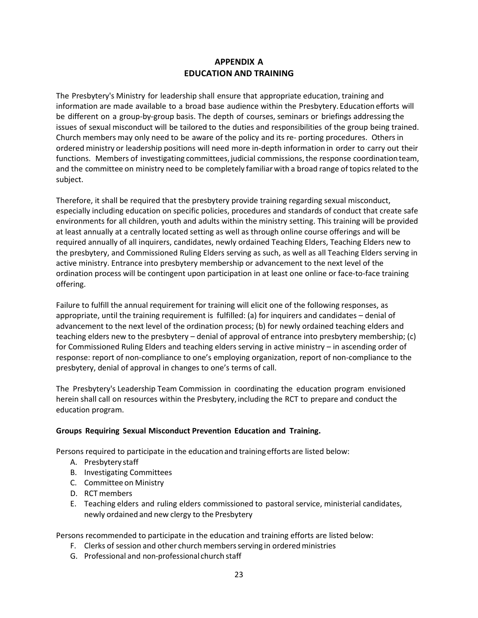## **APPENDIX A EDUCATION AND TRAINING**

The Presbytery's Ministry for leadership shall ensure that appropriate education, training and information are made available to a broad base audience within the Presbytery. Education efforts will be different on a group-by-group basis. The depth of courses, seminars or briefings addressing the issues of sexual misconduct will be tailored to the duties and responsibilities of the group being trained. Church members may only need to be aware of the policy and its re- porting procedures. Others in ordered ministry or leadership positions will need more in-depth information in order to carry out their functions. Members of investigating committees, judicial commissions, the response coordination team, and the committee on ministry need to be completely familiarwith a broad range of topicsrelated to the subject.

Therefore, it shall be required that the presbytery provide training regarding sexual misconduct, especially including education on specific policies, procedures and standards of conduct that create safe environments for all children, youth and adults within the ministry setting. This training will be provided at least annually at a centrally located setting as well as through online course offerings and will be required annually of all inquirers, candidates, newly ordained Teaching Elders, Teaching Elders new to the presbytery, and Commissioned Ruling Elders serving as such, as well as all Teaching Elders serving in active ministry. Entrance into presbytery membership or advancement to the next level of the ordination process will be contingent upon participation in at least one online or face-to-face training offering.

Failure to fulfill the annual requirement for training will elicit one of the following responses, as appropriate, until the training requirement is fulfilled: (a) for inquirers and candidates – denial of advancement to the next level of the ordination process; (b) for newly ordained teaching elders and teaching elders new to the presbytery – denial of approval of entrance into presbytery membership; (c) for Commissioned Ruling Elders and teaching elders serving in active ministry – in ascending order of response: report of non-compliance to one's employing organization, report of non-compliance to the presbytery, denial of approval in changes to one's terms of call.

The Presbytery's Leadership Team Commission in coordinating the education program envisioned herein shall call on resources within the Presbytery, including the RCT to prepare and conduct the education program.

#### **Groups Requiring Sexual Misconduct Prevention Education and Training.**

Persons required to participate in the education and trainingefforts are listed below:

- A. Presbytery staff
- B. Investigating Committees
- C. Committee on Ministry
- D. RCT members
- E. Teaching elders and ruling elders commissioned to pastoral service, ministerial candidates, newly ordained and new clergy to the Presbytery

Persons recommended to participate in the education and training efforts are listed below:

- F. Clerks of session and other church membersserving in orderedministries
- G. Professional and non-professional church staff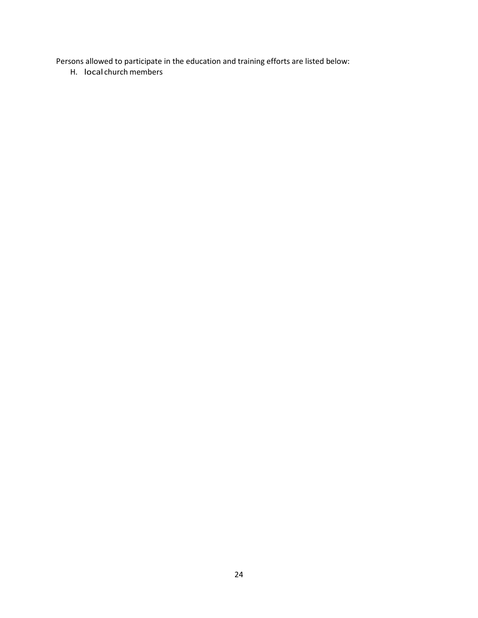Persons allowed to participate in the education and training efforts are listed below:

H. local church members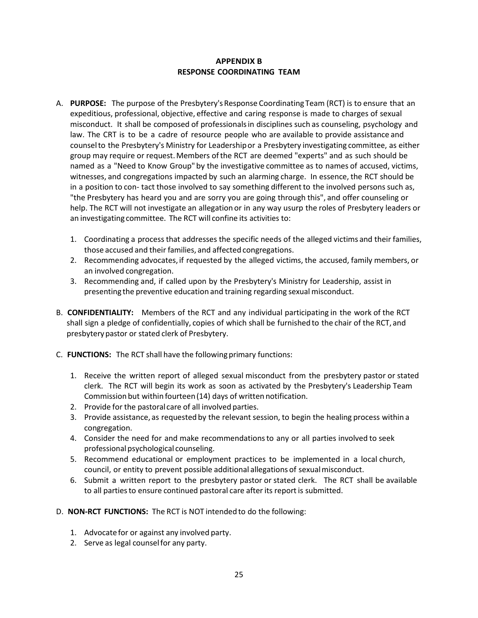### **APPENDIX B RESPONSE COORDINATING TEAM**

- A. PURPOSE: The purpose of the Presbytery's Response Coordinating Team (RCT) is to ensure that an expeditious, professional, objective, effective and caring response is made to charges of sexual misconduct. It shall be composed of professionalsin disciplines such as counseling, psychology and law. The CRT is to be a cadre of resource people who are available to provide assistance and counselto the Presbytery's Ministry for Leadershipor a Presbytery investigating committee, as either group may require or request.Members ofthe RCT are deemed "experts" and as such should be named as a "Need to Know Group"by the investigative committee as to names of accused, victims, witnesses, and congregations impacted by such an alarming charge. In essence, the RCT should be in a position to con-tact those involved to say something different to the involved persons such as, "the Presbytery has heard you and are sorry you are going through this", and offer counseling or help. The RCT will not investigate an allegation or in any way usurp the roles of Presbytery leaders or an investigating committee. The RCT will confine its activities to:
	- 1. Coordinating a process that addresses the specific needs of the alleged victims and their families, those accused and their families, and affected congregations.
	- 2. Recommending advocates, if requested by the alleged victims, the accused, family members, or an involved congregation.
	- 3. Recommending and, if called upon by the Presbytery's Ministry for Leadership, assist in presenting the preventive education and training regarding sexual misconduct.
- B. **CONFIDENTIALITY:** Members of the RCT and any individual participating in the work of the RCT shall sign a pledge of confidentially, copies of which shall be furnished to the chair of the RCT, and presbytery pastor or stated clerk of Presbytery.
- C. **FUNCTIONS:** The RCT shall have the followingprimary functions:
	- 1. Receive the written report of alleged sexual misconduct from the presbytery pastor or stated clerk. The RCT will begin its work as soon as activated by the Presbytery's Leadership Team Commission but within fourteen (14) days of written notification.
	- 2. Provide for the pastoral care of all involved parties.
	- 3. Provide assistance, as requested by the relevant session, to begin the healing process within a congregation.
	- 4. Consider the need for and make recommendationsto any or all parties involved to seek professional psychological counseling.
	- 5. Recommend educational or employment practices to be implemented in a local church, council, or entity to prevent possible additional allegations of sexualmisconduct.
	- 6. Submit a written report to the presbytery pastor or stated clerk. The RCT shall be available to all parties to ensure continued pastoral care after its report is submitted.
- D. **NON-RCT FUNCTIONS:** The RCT is NOT intended to do the following:
	- 1. Advocate for or against any involved party.
	- 2. Serve as legal counselfor any party.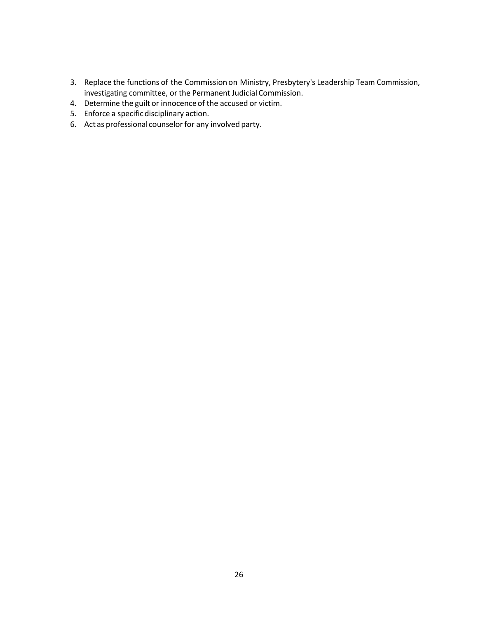- 3. Replace the functions of the Commission on Ministry, Presbytery's Leadership Team Commission, investigating committee, or the Permanent Judicial Commission.
- 4. Determine the guilt or innocenceof the accused or victim.
- 5. Enforce a specificdisciplinary action.
- 6. Act as professional counselor for any involved party.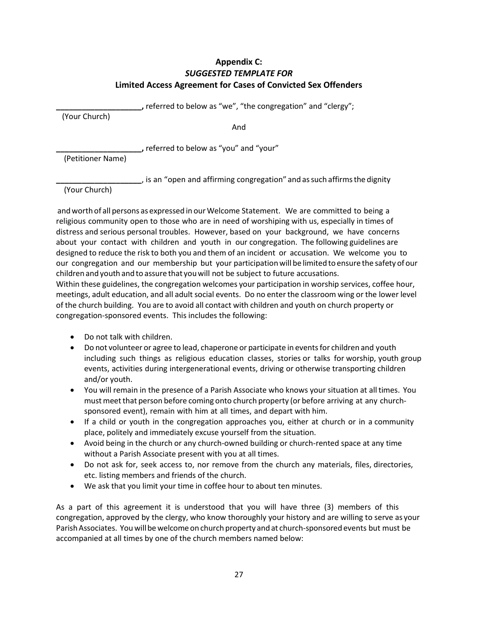## **Appendix C:** *SUGGESTED TEMPLATE FOR* **Limited Access Agreement for Cases of Convicted Sex Offenders**

**\_\_\_\_\_\_\_\_\_\_\_\_\_\_\_\_\_\_\_\_,** referred to below as "we", "the congregation" and "clergy";

(Your Church)

And

**\_\_\_\_\_\_\_\_\_\_\_\_\_\_\_\_\_\_\_\_,** referred to below as "you" and "your"

(Petitioner Name)

**\_\_\_\_\_\_\_\_\_\_\_\_\_\_\_\_\_\_\_\_**, is an "open and affirming congregation" and assuch affirmsthe dignity

(Your Church)

andworth of all persons as expressed in our Welcome Statement. We are committed to being a religious community open to those who are in need of worshiping with us, especially in times of distress and serious personal troubles. However, based on your background, we have concerns about your contact with children and youth in our congregation. The following guidelines are designed to reduce the risk to both you and them of an incident or accusation. We welcome you to our congregation and our membership but your participationwill be limited to ensure the safety ofour children and youth and to assure that youwill not be subject to future accusations.

Within these guidelines, the congregation welcomes your participation in worship services, coffee hour, meetings, adult education, and all adult social events. Do no enter the classroom wing or the lower level of the church building. You are to avoid all contact with children and youth on church property or congregation-sponsored events. This includes the following:

- Do not talk with children.
- Do not volunteer or agree to lead, chaperone or participate in events for children and youth including such things as religious education classes, stories or talks for worship, youth group events, activities during intergenerational events, driving or otherwise transporting children and/or youth.
- You will remain in the presence of a Parish Associate who knows your situation at all times. You must meet that person before coming onto church property (or before arriving at any churchsponsored event), remain with him at all times, and depart with him.
- If a child or youth in the congregation approaches you, either at church or in a community place, politely and immediately excuse yourself from the situation.
- Avoid being in the church or any church-owned building or church-rented space at any time without a Parish Associate present with you at all times.
- Do not ask for, seek access to, nor remove from the church any materials, files, directories, etc. listing members and friends of the church.
- We ask that you limit your time in coffee hour to about ten minutes.

As a part of this agreement it is understood that you will have three (3) members of this congregation, approved by the clergy, who know thoroughly your history and are willing to serve as your Parish Associates. You will be welcome on church property and at church-sponsored events but must be accompanied at all times by one of the church members named below: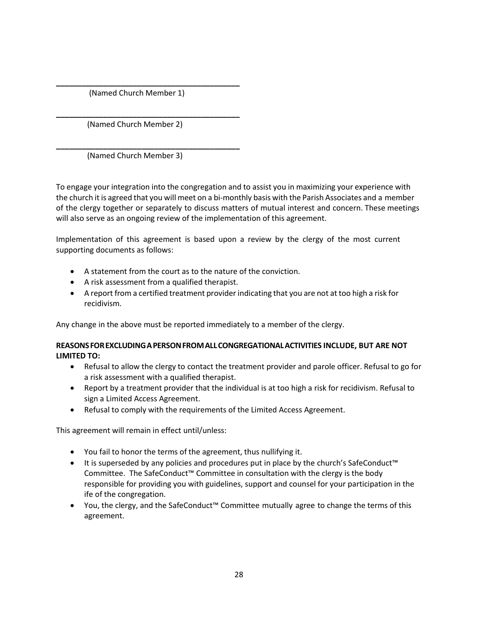(Named Church Member 1)

**\_\_\_\_\_\_\_\_\_\_\_\_\_\_\_\_\_\_\_\_\_\_\_\_\_\_\_\_\_\_\_\_\_\_\_\_\_\_\_\_\_\_\_**

**\_\_\_\_\_\_\_\_\_\_\_\_\_\_\_\_\_\_\_\_\_\_\_\_\_\_\_\_\_\_\_\_\_\_\_\_\_\_\_\_\_\_\_** (Named Church Member 2)

**\_\_\_\_\_\_\_\_\_\_\_\_\_\_\_\_\_\_\_\_\_\_\_\_\_\_\_\_\_\_\_\_\_\_\_\_\_\_\_\_\_\_\_** (Named Church Member 3)

To engage your integration into the congregation and to assist you in maximizing your experience with the church it is agreed that you will meet on a bi-monthly basis with the Parish Associates and a member of the clergy together or separately to discuss matters of mutual interest and concern. These meetings will also serve as an ongoing review of the implementation of this agreement.

Implementation of this agreement is based upon a review by the clergy of the most current supporting documents as follows:

- A statement from the court as to the nature of the conviction.
- A risk assessment from a qualified therapist.
- A report from a certified treatment provider indicating that you are not at too high a risk for recidivism.

Any change in the above must be reported immediately to a member of the clergy.

### **REASONSFOREXCLUDINGAPERSONFROMALLCONGREGATIONALACTIVITIES INCLUDE, BUT ARE NOT LIMITED TO:**

- Refusal to allow the clergy to contact the treatment provider and parole officer. Refusal to go for a risk assessment with a qualified therapist.
- Report by a treatment provider that the individual is at too high a risk for recidivism. Refusal to sign a Limited Access Agreement.
- Refusal to comply with the requirements of the Limited Access Agreement.

This agreement will remain in effect until/unless:

- You fail to honor the terms of the agreement, thus nullifying it.
- It is superseded by any policies and procedures put in place by the church's SafeConduct™ Committee. The SafeConduct™ Committee in consultation with the clergy is the body responsible for providing you with guidelines, support and counsel for your participation in the ife of the congregation.
- You, the clergy, and the SafeConduct™ Committee mutually agree to change the terms of this agreement.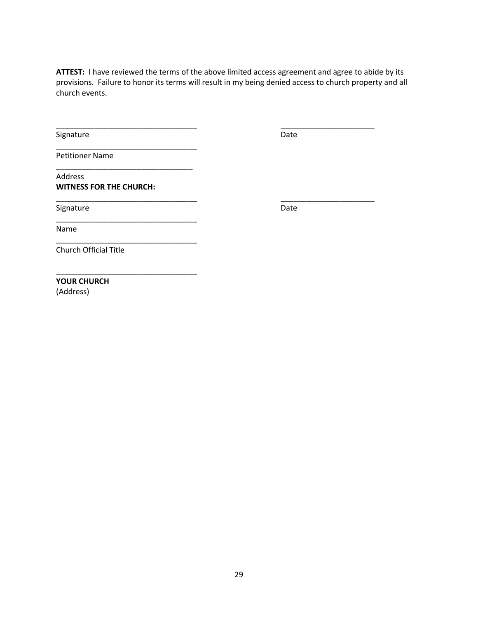ATTEST: I have reviewed the terms of the above limited access agreement and agree to abide by its provisions. Failure to honor its terms will result in my being denied access to church property and all church events.

\_\_\_\_\_\_\_\_\_\_\_\_\_\_\_\_\_\_\_\_\_\_\_\_\_\_\_\_\_\_\_\_\_ \_\_\_\_\_\_\_\_\_\_\_\_\_\_\_\_\_\_\_\_\_\_

\_\_\_\_\_\_\_\_\_\_\_\_\_\_\_\_\_\_\_\_\_\_\_\_\_\_\_\_\_\_\_\_\_ \_\_\_\_\_\_\_\_\_\_\_\_\_\_\_\_\_\_\_\_\_\_

Signature Date Date

Petitioner Name

Address **WITNESS FOR THE CHURCH:**

\_\_\_\_\_\_\_\_\_\_\_\_\_\_\_\_\_\_\_\_\_\_\_\_\_\_\_\_\_\_\_\_\_

\_\_\_\_\_\_\_\_\_\_\_\_\_\_\_\_\_\_\_\_\_\_\_\_\_\_\_\_\_\_\_\_

\_\_\_\_\_\_\_\_\_\_\_\_\_\_\_\_\_\_\_\_\_\_\_\_\_\_\_\_\_\_\_\_\_

\_\_\_\_\_\_\_\_\_\_\_\_\_\_\_\_\_\_\_\_\_\_\_\_\_\_\_\_\_\_\_\_\_

Signature Date Date Date

Name

Church Official Title

\_\_\_\_\_\_\_\_\_\_\_\_\_\_\_\_\_\_\_\_\_\_\_\_\_\_\_\_\_\_\_\_\_ **YOUR CHURCH**

(Address)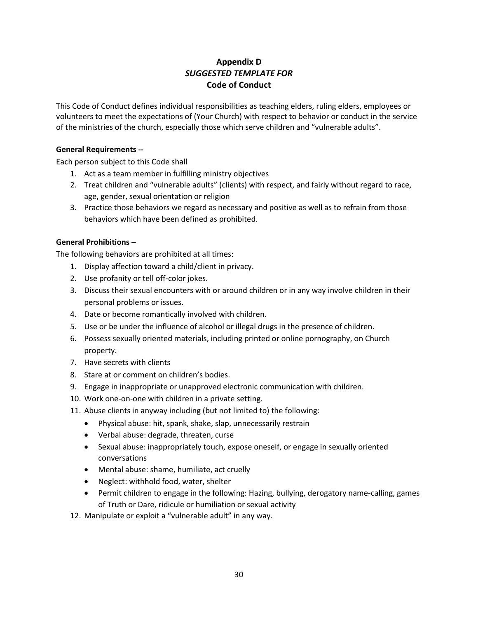## **Appendix D** *SUGGESTED TEMPLATE FOR* **Code of Conduct**

This Code of Conduct defines individual responsibilities as teaching elders, ruling elders, employees or volunteers to meet the expectations of (Your Church) with respect to behavior or conduct in the service of the ministries of the church, especially those which serve children and "vulnerable adults".

#### **General Requirements --**

Each person subject to this Code shall

- 1. Act as a team member in fulfilling ministry objectives
- 2. Treat children and "vulnerable adults" (clients) with respect, and fairly without regard to race, age, gender, sexual orientation or religion
- 3. Practice those behaviors we regard as necessary and positive as well as to refrain from those behaviors which have been defined as prohibited.

### **General Prohibitions –**

The following behaviors are prohibited at all times:

- 1. Display affection toward a child/client in privacy.
- 2. Use profanity or tell off-color jokes.
- 3. Discuss their sexual encounters with or around children or in any way involve children in their personal problems or issues.
- 4. Date or become romantically involved with children.
- 5. Use or be under the influence of alcohol or illegal drugs in the presence of children.
- 6. Possess sexually oriented materials, including printed or online pornography, on Church property.
- 7. Have secrets with clients
- 8. Stare at or comment on children's bodies.
- 9. Engage in inappropriate or unapproved electronic communication with children.
- 10. Work one-on-one with children in a private setting.
- 11. Abuse clients in anyway including (but not limited to) the following:
	- Physical abuse: hit, spank, shake, slap, unnecessarily restrain
	- Verbal abuse: degrade, threaten, curse
	- Sexual abuse: inappropriately touch, expose oneself, or engage in sexually oriented conversations
	- Mental abuse: shame, humiliate, act cruelly
	- Neglect: withhold food, water, shelter
	- Permit children to engage in the following: Hazing, bullying, derogatory name-calling, games of Truth or Dare, ridicule or humiliation or sexual activity
- 12. Manipulate or exploit a "vulnerable adult" in any way.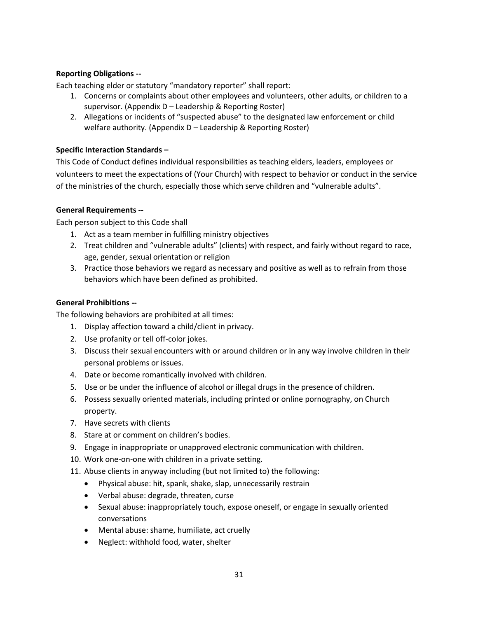### **Reporting Obligations --**

Each teaching elder or statutory "mandatory reporter" shall report:

- 1. Concerns or complaints about other employees and volunteers, other adults, or children to a supervisor. (Appendix D – Leadership & Reporting Roster)
- 2. Allegations or incidents of "suspected abuse" to the designated law enforcement or child welfare authority. (Appendix D – Leadership & Reporting Roster)

#### **Specific Interaction Standards –**

This Code of Conduct defines individual responsibilities as teaching elders, leaders, employees or volunteers to meet the expectations of (Your Church) with respect to behavior or conduct in the service of the ministries of the church, especially those which serve children and "vulnerable adults".

### **General Requirements --**

Each person subject to this Code shall

- 1. Act as a team member in fulfilling ministry objectives
- 2. Treat children and "vulnerable adults" (clients) with respect, and fairly without regard to race, age, gender, sexual orientation or religion
- 3. Practice those behaviors we regard as necessary and positive as well as to refrain from those behaviors which have been defined as prohibited.

### **General Prohibitions --**

The following behaviors are prohibited at all times:

- 1. Display affection toward a child/client in privacy.
- 2. Use profanity or tell off-color jokes.
- 3. Discuss their sexual encounters with or around children or in any way involve children in their personal problems or issues.
- 4. Date or become romantically involved with children.
- 5. Use or be under the influence of alcohol or illegal drugs in the presence of children.
- 6. Possess sexually oriented materials, including printed or online pornography, on Church property.
- 7. Have secrets with clients
- 8. Stare at or comment on children's bodies.
- 9. Engage in inappropriate or unapproved electronic communication with children.
- 10. Work one-on-one with children in a private setting.
- 11. Abuse clients in anyway including (but not limited to) the following:
	- Physical abuse: hit, spank, shake, slap, unnecessarily restrain
	- Verbal abuse: degrade, threaten, curse
	- Sexual abuse: inappropriately touch, expose oneself, or engage in sexually oriented conversations
	- Mental abuse: shame, humiliate, act cruelly
	- Neglect: withhold food, water, shelter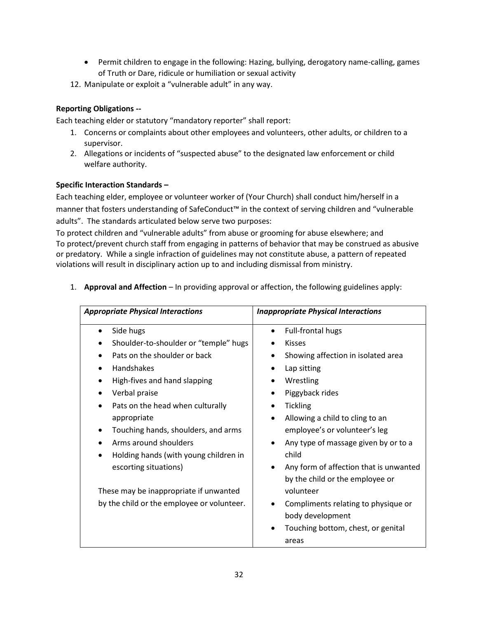- Permit children to engage in the following: Hazing, bullying, derogatory name-calling, games of Truth or Dare, ridicule or humiliation or sexual activity
- 12. Manipulate or exploit a "vulnerable adult" in any way.

### **Reporting Obligations --**

Each teaching elder or statutory "mandatory reporter" shall report:

- 1. Concerns or complaints about other employees and volunteers, other adults, or children to a supervisor.
- 2. Allegations or incidents of "suspected abuse" to the designated law enforcement or child welfare authority.

### **Specific Interaction Standards –**

Each teaching elder, employee or volunteer worker of (Your Church) shall conduct him/herself in a manner that fosters understanding of SafeConduct™ in the context of serving children and "vulnerable adults". The standards articulated below serve two purposes:

To protect children and "vulnerable adults" from abuse or grooming for abuse elsewhere; and To protect/prevent church staff from engaging in patterns of behavior that may be construed as abusive or predatory. While a single infraction of guidelines may not constitute abuse, a pattern of repeated violations will result in disciplinary action up to and including dismissal from ministry.

1. **Approval and Affection** – In providing approval or affection, the following guidelines apply:

| <b>Appropriate Physical Interactions</b>   | <b>Inappropriate Physical Interactions</b>   |  |  |
|--------------------------------------------|----------------------------------------------|--|--|
| Side hugs                                  | Full-frontal hugs                            |  |  |
| Shoulder-to-shoulder or "temple" hugs      | <b>Kisses</b>                                |  |  |
| Pats on the shoulder or back               | Showing affection in isolated area           |  |  |
| Handshakes                                 | Lap sitting                                  |  |  |
| High-fives and hand slapping               | Wrestling                                    |  |  |
| Verbal praise                              | Piggyback rides                              |  |  |
| Pats on the head when culturally           | <b>Tickling</b>                              |  |  |
| appropriate                                | Allowing a child to cling to an<br>$\bullet$ |  |  |
| Touching hands, shoulders, and arms        | employee's or volunteer's leg                |  |  |
| Arms around shoulders                      | Any type of massage given by or to a         |  |  |
| Holding hands (with young children in      | child                                        |  |  |
| escorting situations)                      | Any form of affection that is unwanted       |  |  |
|                                            | by the child or the employee or              |  |  |
| These may be inappropriate if unwanted     | volunteer                                    |  |  |
| by the child or the employee or volunteer. | Compliments relating to physique or          |  |  |
|                                            | body development                             |  |  |
|                                            | Touching bottom, chest, or genital           |  |  |
|                                            | areas                                        |  |  |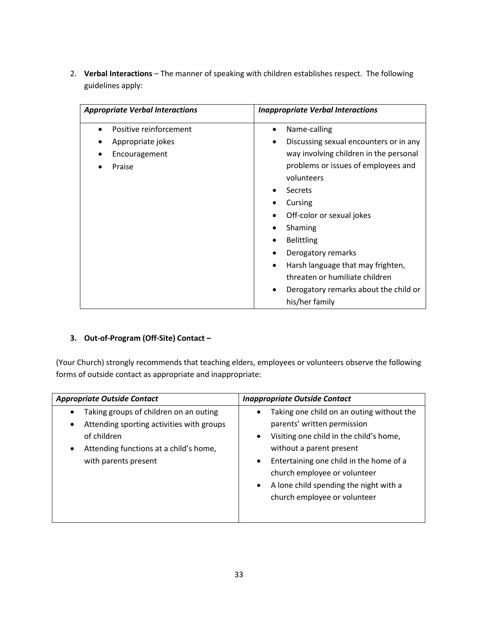2. Verbal Interactions - The manner of speaking with children establishes respect. The following guidelines apply:

| <b>Appropriate Verbal Interactions</b> | <b>Inappropriate Verbal Interactions</b> |  |  |
|----------------------------------------|------------------------------------------|--|--|
| Positive reinforcement                 | Name-calling<br>$\bullet$                |  |  |
| Appropriate jokes                      | Discussing sexual encounters or in any   |  |  |
| Encouragement                          | way involving children in the personal   |  |  |
| Praise                                 | problems or issues of employees and      |  |  |
|                                        | volunteers                               |  |  |
|                                        | Secrets                                  |  |  |
|                                        | Cursing                                  |  |  |
|                                        | Off-color or sexual jokes                |  |  |
|                                        | Shaming                                  |  |  |
|                                        | <b>Belittling</b>                        |  |  |
|                                        | Derogatory remarks                       |  |  |
|                                        | Harsh language that may frighten,        |  |  |
|                                        | threaten or humiliate children           |  |  |
|                                        | Derogatory remarks about the child or    |  |  |
|                                        | his/her family                           |  |  |

## **3. Out-of-Program (Off-Site) Contact –**

(Your Church) strongly recommends that teaching elders, employees or volunteers observe the following forms of outside contact as appropriate and inappropriate:

| <b>Appropriate Outside Contact</b>                  | <b>Inappropriate Outside Contact</b>                 |  |
|-----------------------------------------------------|------------------------------------------------------|--|
| Taking groups of children on an outing<br>$\bullet$ | Taking one child on an outing without the<br>٠       |  |
| Attending sporting activities with groups<br>٠      | parents' written permission                          |  |
| of children                                         | Visiting one child in the child's home,<br>$\bullet$ |  |
| Attending functions at a child's home,<br>$\bullet$ | without a parent present                             |  |
| with parents present                                | Entertaining one child in the home of a<br>$\bullet$ |  |
|                                                     | church employee or volunteer                         |  |
|                                                     | A lone child spending the night with a<br>$\bullet$  |  |
|                                                     | church employee or volunteer                         |  |
|                                                     |                                                      |  |
|                                                     |                                                      |  |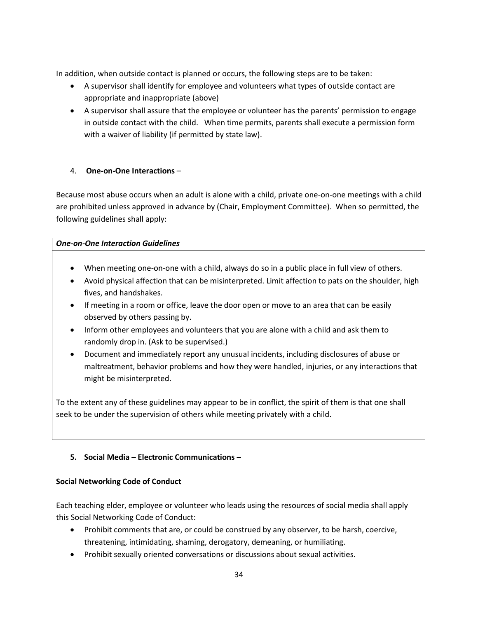In addition, when outside contact is planned or occurs, the following steps are to be taken:

- A supervisor shall identify for employee and volunteers what types of outside contact are appropriate and inappropriate (above)
- A supervisor shall assure that the employee or volunteer has the parents' permission to engage in outside contact with the child. When time permits, parents shall execute a permission form with a waiver of liability (if permitted by state law).

### 4. **One-on-One Interactions** –

Because most abuse occurs when an adult is alone with a child, private one-on-one meetings with a child are prohibited unless approved in advance by (Chair, Employment Committee). When so permitted, the following guidelines shall apply:

### *One-on-One Interaction Guidelines*

- When meeting one-on-one with a child, always do so in a public place in full view of others.
- Avoid physical affection that can be misinterpreted. Limit affection to pats on the shoulder, high fives, and handshakes.
- If meeting in a room or office, leave the door open or move to an area that can be easily observed by others passing by.
- Inform other employees and volunteers that you are alone with a child and ask them to randomly drop in. (Ask to be supervised.)
- Document and immediately report any unusual incidents, including disclosures of abuse or maltreatment, behavior problems and how they were handled, injuries, or any interactions that might be misinterpreted.

To the extent any of these guidelines may appear to be in conflict, the spirit of them is that one shall seek to be under the supervision of others while meeting privately with a child.

## **5. Social Media – Electronic Communications –**

### **Social Networking Code of Conduct**

Each teaching elder, employee or volunteer who leads using the resources of social media shall apply this Social Networking Code of Conduct:

- Prohibit comments that are, or could be construed by any observer, to be harsh, coercive, threatening, intimidating, shaming, derogatory, demeaning, or humiliating.
- Prohibit sexually oriented conversations or discussions about sexual activities.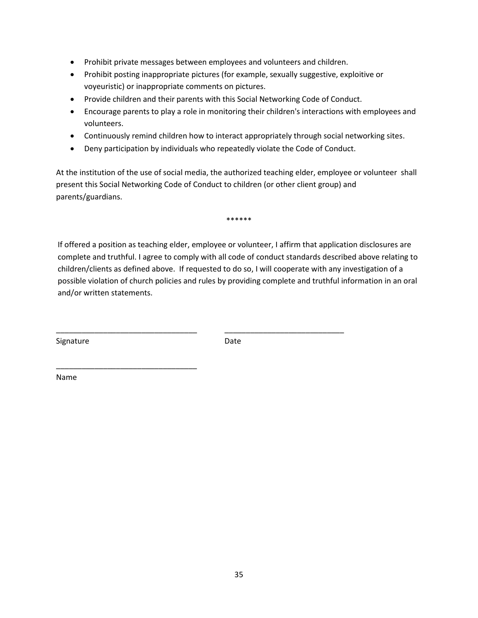- Prohibit private messages between employees and volunteers and children.
- Prohibit posting inappropriate pictures (for example, sexually suggestive, exploitive or voyeuristic) or inappropriate comments on pictures.
- Provide children and their parents with this Social Networking Code of Conduct.
- Encourage parents to play a role in monitoring their children's interactions with employees and volunteers.
- Continuously remind children how to interact appropriately through social networking sites.
- Deny participation by individuals who repeatedly violate the Code of Conduct.

At the institution of the use of social media, the authorized teaching elder, employee or volunteer shall present this Social Networking Code of Conduct to children (or other client group) and parents/guardians.

\*\*\*\*\*\*

If offered a position as teaching elder, employee or volunteer, I affirm that application disclosures are complete and truthful. I agree to comply with all code of conduct standards described above relating to children/clients as defined above. If requested to do so, I will cooperate with any investigation of a possible violation of church policies and rules by providing complete and truthful information in an oral and/or written statements.

Signature Date

\_\_\_\_\_\_\_\_\_\_\_\_\_\_\_\_\_\_\_\_\_\_\_\_\_\_\_\_\_\_\_\_\_

\_\_\_\_\_\_\_\_\_\_\_\_\_\_\_\_\_\_\_\_\_\_\_\_\_\_\_\_\_\_\_\_\_ \_\_\_\_\_\_\_\_\_\_\_\_\_\_\_\_\_\_\_\_\_\_\_\_\_\_\_\_

Name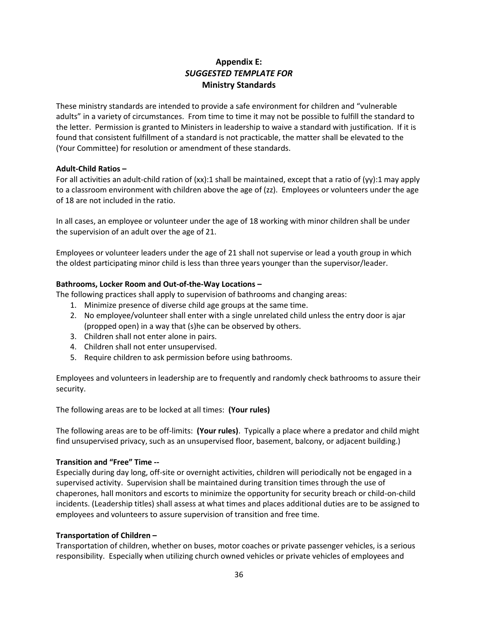## **Appendix E:** *SUGGESTED TEMPLATE FOR* **Ministry Standards**

These ministry standards are intended to provide a safe environment for children and "vulnerable adults" in a variety of circumstances. From time to time it may not be possible to fulfill the standard to the letter. Permission is granted to Ministers in leadership to waive a standard with justification. If it is found that consistent fulfillment of a standard is not practicable, the matter shall be elevated to the (Your Committee) for resolution or amendment of these standards.

#### **Adult-Child Ratios –**

For all activities an adult-child ration of (xx):1 shall be maintained, except that a ratio of (yy):1 may apply to a classroom environment with children above the age of (zz). Employees or volunteers under the age of 18 are not included in the ratio.

In all cases, an employee or volunteer under the age of 18 working with minor children shall be under the supervision of an adult over the age of 21.

Employees or volunteer leaders under the age of 21 shall not supervise or lead a youth group in which the oldest participating minor child is less than three years younger than the supervisor/leader.

### **Bathrooms, Locker Room and Out-of-the-Way Locations –**

The following practices shall apply to supervision of bathrooms and changing areas:

- 1. Minimize presence of diverse child age groups at the same time.
- 2. No employee/volunteer shall enter with a single unrelated child unless the entry door is ajar (propped open) in a way that (s)he can be observed by others.
- 3. Children shall not enter alone in pairs.
- 4. Children shall not enter unsupervised.
- 5. Require children to ask permission before using bathrooms.

Employees and volunteers in leadership are to frequently and randomly check bathrooms to assure their security.

The following areas are to be locked at all times: **(Your rules)**

The following areas are to be off-limits: **(Your rules)**. Typically a place where a predator and child might find unsupervised privacy, such as an unsupervised floor, basement, balcony, or adjacent building.)

#### **Transition and "Free" Time --**

Especially during day long, off-site or overnight activities, children will periodically not be engaged in a supervised activity. Supervision shall be maintained during transition times through the use of chaperones, hall monitors and escorts to minimize the opportunity for security breach or child-on-child incidents. (Leadership titles) shall assess at what times and places additional duties are to be assigned to employees and volunteers to assure supervision of transition and free time.

### **Transportation of Children –**

Transportation of children, whether on buses, motor coaches or private passenger vehicles, is a serious responsibility. Especially when utilizing church owned vehicles or private vehicles of employees and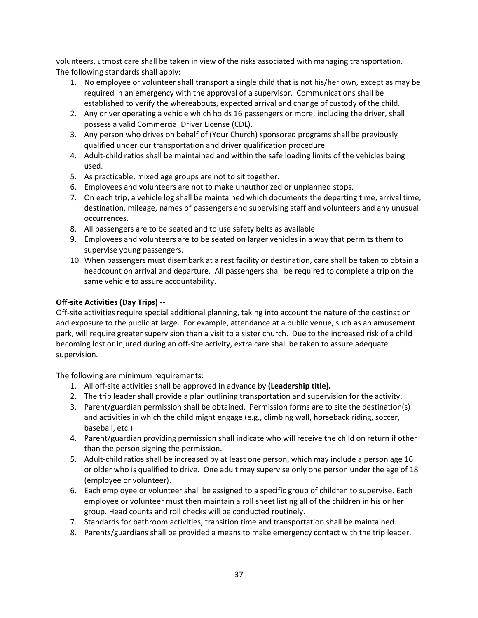volunteers, utmost care shall be taken in view of the risks associated with managing transportation. The following standards shall apply:

- 1. No employee or volunteer shall transport a single child that is not his/her own, except as may be required in an emergency with the approval of a supervisor. Communications shall be established to verify the whereabouts, expected arrival and change of custody of the child.
- 2. Any driver operating a vehicle which holds 16 passengers or more, including the driver, shall possess a valid Commercial Driver License (CDL).
- 3. Any person who drives on behalf of (Your Church) sponsored programs shall be previously qualified under our transportation and driver qualification procedure.
- 4. Adult-child ratios shall be maintained and within the safe loading limits of the vehicles being used.
- 5. As practicable, mixed age groups are not to sit together.
- 6. Employees and volunteers are not to make unauthorized or unplanned stops.
- 7. On each trip, a vehicle log shall be maintained which documents the departing time, arrival time, destination, mileage, names of passengers and supervising staff and volunteers and any unusual occurrences.
- 8. All passengers are to be seated and to use safety belts as available.
- 9. Employees and volunteers are to be seated on larger vehicles in a way that permits them to supervise young passengers.
- 10. When passengers must disembark at a rest facility or destination, care shall be taken to obtain a headcount on arrival and departure. All passengers shall be required to complete a trip on the same vehicle to assure accountability.

### **Off-site Activities (Day Trips) --**

Off-site activities require special additional planning, taking into account the nature of the destination and exposure to the public at large. For example, attendance at a public venue, such as an amusement park, will require greater supervision than a visit to a sister church. Due to the increased risk of a child becoming lost or injured during an off-site activity, extra care shall be taken to assure adequate supervision.

The following are minimum requirements:

- 1. All off-site activities shall be approved in advance by **(Leadership title).**
- 2. The trip leader shall provide a plan outlining transportation and supervision for the activity.
- 3. Parent/guardian permission shall be obtained. Permission forms are to site the destination(s) and activities in which the child might engage (e.g., climbing wall, horseback riding, soccer, baseball, etc.)
- 4. Parent/guardian providing permission shall indicate who will receive the child on return if other than the person signing the permission.
- 5. Adult-child ratios shall be increased by at least one person, which may include a person age 16 or older who is qualified to drive. One adult may supervise only one person under the age of 18 (employee or volunteer).
- 6. Each employee or volunteer shall be assigned to a specific group of children to supervise. Each employee or volunteer must then maintain a roll sheet listing all of the children in his or her group. Head counts and roll checks will be conducted routinely.
- 7. Standards for bathroom activities, transition time and transportation shall be maintained.
- 8. Parents/guardians shall be provided a means to make emergency contact with the trip leader.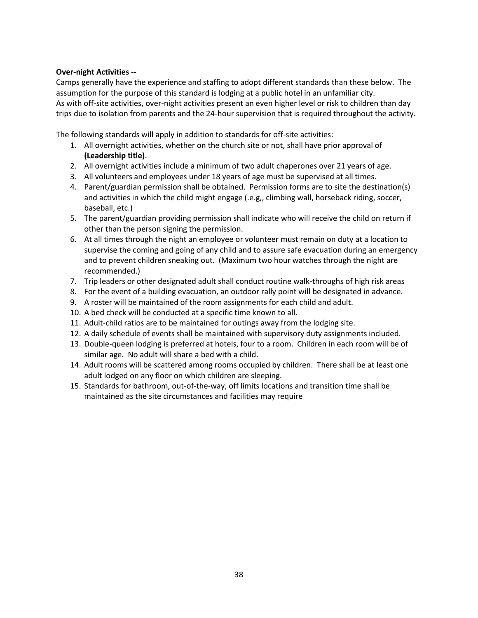### **Over-night Activities --**

Camps generally have the experience and staffing to adopt different standards than these below. The assumption for the purpose of this standard is lodging at a public hotel in an unfamiliar city. As with off-site activities, over-night activities present an even higher level or risk to children than day trips due to isolation from parents and the 24-hour supervision that is required throughout the activity.

The following standards will apply in addition to standards for off-site activities:

- 1. All overnight activities, whether on the church site or not, shall have prior approval of **(Leadership title)**.
- 2. All overnight activities include a minimum of two adult chaperones over 21 years of age.
- 3. All volunteers and employees under 18 years of age must be supervised at all times.
- 4. Parent/guardian permission shall be obtained. Permission forms are to site the destination(s) and activities in which the child might engage (.e.g,, climbing wall, horseback riding, soccer, baseball, etc.)
- 5. The parent/guardian providing permission shall indicate who will receive the child on return if other than the person signing the permission.
- 6. At all times through the night an employee or volunteer must remain on duty at a location to supervise the coming and going of any child and to assure safe evacuation during an emergency and to prevent children sneaking out. (Maximum two hour watches through the night are recommended.)
- 7. Trip leaders or other designated adult shall conduct routine walk-throughs of high risk areas
- 8. For the event of a building evacuation, an outdoor rally point will be designated in advance.
- 9. A roster will be maintained of the room assignments for each child and adult.
- 10. A bed check will be conducted at a specific time known to all.
- 11. Adult-child ratios are to be maintained for outings away from the lodging site.
- 12. A daily schedule of events shall be maintained with supervisory duty assignments included.
- 13. Double-queen lodging is preferred at hotels, four to a room. Children in each room will be of similar age. No adult will share a bed with a child.
- 14. Adult rooms will be scattered among rooms occupied by children. There shall be at least one adult lodged on any floor on which children are sleeping.
- 15. Standards for bathroom, out-of-the-way, off limits locations and transition time shall be maintained as the site circumstances and facilities may require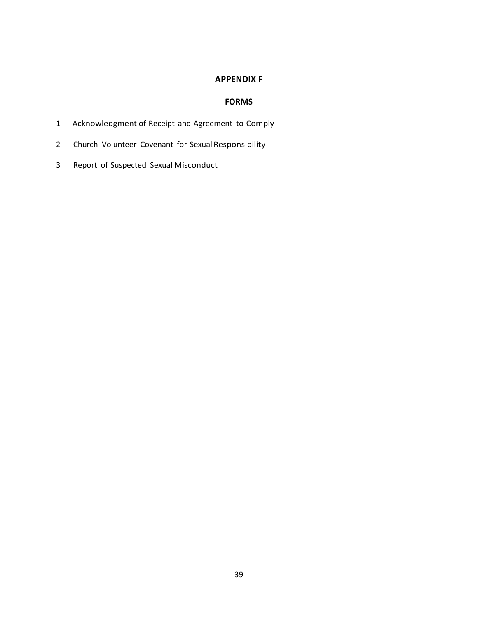### **APPENDIX F**

## **FORMS**

- Acknowledgment of Receipt and Agreement to Comply
- Church Volunteer Covenant for Sexual Responsibility
- Report of Suspected Sexual Misconduct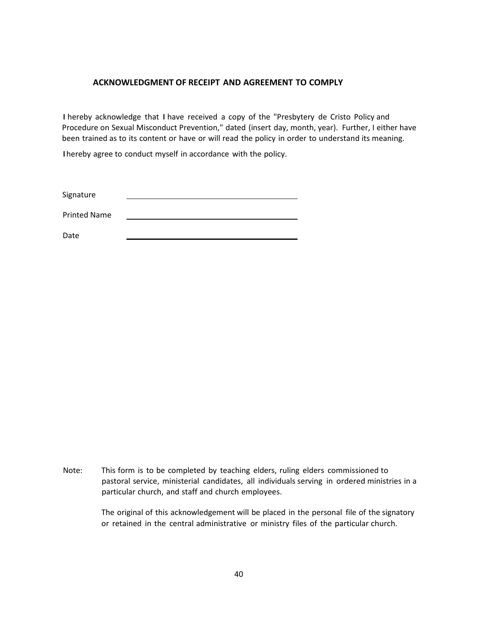#### **ACKNOWLEDGMENT OF RECEIPT AND AGREEMENT TO COMPLY**

I hereby acknowledge that I have received a copy of the "Presbytery de Cristo Policy and Procedure on Sexual Misconduct Prevention," dated (insert day, month, year). Further, I either have been trained as to its content or have or will read the policy in order to understand its meaning.

Ihereby agree to conduct myself in accordance with the policy.

Signature

Printed Name

Date

Note: This form is to be completed by teaching elders, ruling elders commissioned to pastoral service, ministerial candidates, all individuals serving in ordered ministries in a particular church, and staff and church employees.

> The original of this acknowledgement will be placed in the personal file of the signatory or retained in the central administrative or ministry files of the particular church.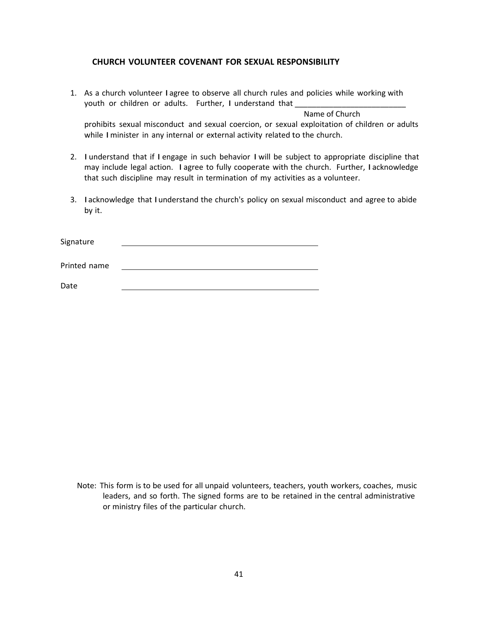#### **CHURCH VOLUNTEER COVENANT FOR SEXUAL RESPONSIBILITY**

1. As a church volunteer I agree to observe all church rules and policies while working with youth or children or adults. Further, I understand that

 Name of Church prohibits sexual misconduct and sexual coercion, or sexual exploitation of children or adults while I minister in any internal or external activity related to the church.

- 2. I understand that if I engage in such behavior I will be subject to appropriate discipline that may include legal action. I agree to fully cooperate with the church. Further, I acknowledge that such discipline may result in termination of my activities as a volunteer.
- 3. Iacknowledge that Iunderstand the church's policy on sexual misconduct and agree to abide by it.

| Signature    |  |  |
|--------------|--|--|
| Printed name |  |  |
| Date         |  |  |

Note: This form is to be used for all unpaid volunteers, teachers, youth workers, coaches, music leaders, and so forth. The signed forms are to be retained in the central administrative or ministry files of the particular church.